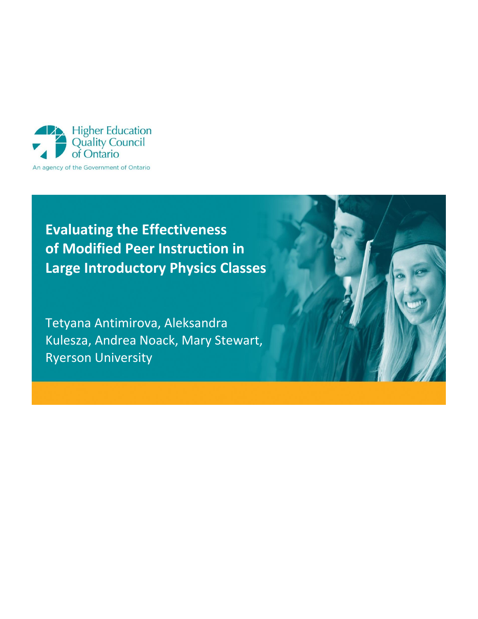

**Evaluating the Effectiveness of Modified Peer Instruction in Large Introductory Physics Classes**

Tetyana Antimirova, Aleksandra Kulesza, Andrea Noack, Mary Stewart, Ryerson University

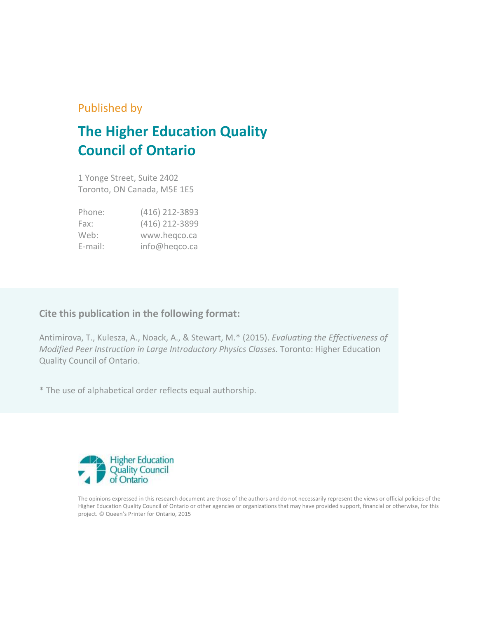# Published by

# **The Higher Education Quality Council of Ontario**

1 Yonge Street, Suite 2402 Toronto, ON Canada, M5E 1E5

| Phone:  | (416) 212-3893 |
|---------|----------------|
| Fax:    | (416) 212-3899 |
| Web:    | www.hegco.ca   |
| E-mail: | info@heqco.ca  |

# **Cite this publication in the following format:**

Antimirova, T., Kulesza, A., Noack, A., & Stewart, M.\* (2015). *Evaluating the Effectiveness of Modified Peer Instruction in Large Introductory Physics Classes.* Toronto: Higher Education Quality Council of Ontario.

\* The use of alphabetical order reflects equal authorship.



The opinions expressed in this research document are those of the authors and do not necessarily represent the views or official policies of the Higher Education Quality Council of Ontario or other agencies or organizations that may have provided support, financial or otherwise, for this project. © Queen's Printer for Ontario, 2015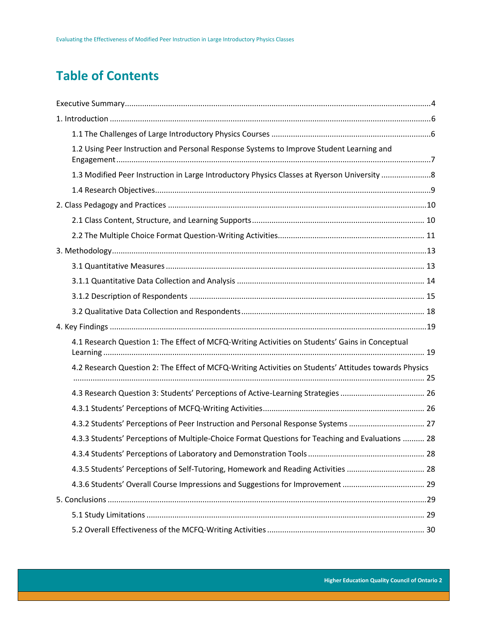# **Table of Contents**

| 1.2 Using Peer Instruction and Personal Response Systems to Improve Student Learning and              |  |
|-------------------------------------------------------------------------------------------------------|--|
| 1.3 Modified Peer Instruction in Large Introductory Physics Classes at Ryerson University 8           |  |
|                                                                                                       |  |
|                                                                                                       |  |
|                                                                                                       |  |
|                                                                                                       |  |
|                                                                                                       |  |
|                                                                                                       |  |
|                                                                                                       |  |
|                                                                                                       |  |
|                                                                                                       |  |
|                                                                                                       |  |
| 4.1 Research Question 1: The Effect of MCFQ-Writing Activities on Students' Gains in Conceptual       |  |
| 4.2 Research Question 2: The Effect of MCFQ-Writing Activities on Students' Attitudes towards Physics |  |
| 4.3 Research Question 3: Students' Perceptions of Active-Learning Strategies  26                      |  |
|                                                                                                       |  |
| 4.3.2 Students' Perceptions of Peer Instruction and Personal Response Systems  27                     |  |
| 4.3.3 Students' Perceptions of Multiple-Choice Format Questions for Teaching and Evaluations  28      |  |
|                                                                                                       |  |
| 4.3.5 Students' Perceptions of Self-Tutoring, Homework and Reading Activities  28                     |  |
| 4.3.6 Students' Overall Course Impressions and Suggestions for Improvement  29                        |  |
|                                                                                                       |  |
|                                                                                                       |  |
|                                                                                                       |  |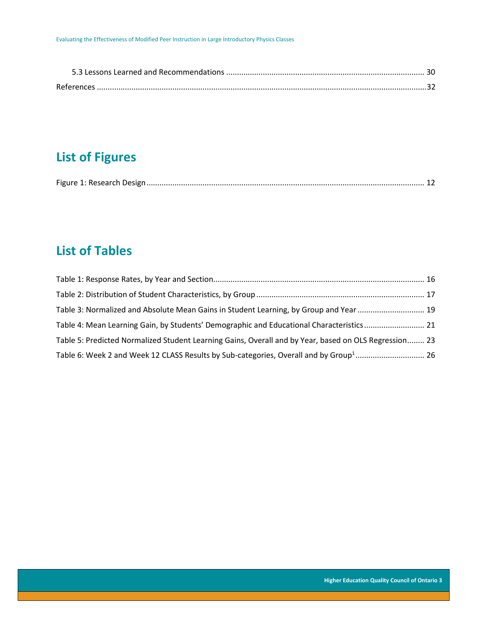| References |  |
|------------|--|

# **List of Figures**

|--|--|--|

# **List of Tables**

| Table 3: Normalized and Absolute Mean Gains in Student Learning, by Group and Year  19                |  |
|-------------------------------------------------------------------------------------------------------|--|
| Table 4: Mean Learning Gain, by Students' Demographic and Educational Characteristics 21              |  |
| Table 5: Predicted Normalized Student Learning Gains, Overall and by Year, based on OLS Regression 23 |  |
| Table 6: Week 2 and Week 12 CLASS Results by Sub-categories, Overall and by Group <sup>1</sup> 26     |  |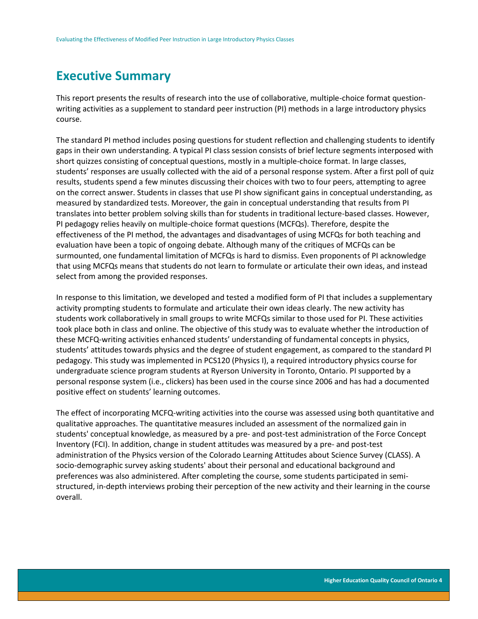# <span id="page-4-0"></span>**Executive Summary**

This report presents the results of research into the use of collaborative, multiple-choice format questionwriting activities as a supplement to standard peer instruction (PI) methods in a large introductory physics course.

The standard PI method includes posing questions for student reflection and challenging students to identify gaps in their own understanding. A typical PI class session consists of brief lecture segments interposed with short quizzes consisting of conceptual questions, mostly in a multiple-choice format. In large classes, students' responses are usually collected with the aid of a personal response system. After a first poll of quiz results, students spend a few minutes discussing their choices with two to four peers, attempting to agree on the correct answer. Students in classes that use PI show significant gains in conceptual understanding, as measured by standardized tests. Moreover, the gain in conceptual understanding that results from PI translates into better problem solving skills than for students in traditional lecture-based classes. However, PI pedagogy relies heavily on multiple-choice format questions (MCFQs). Therefore, despite the effectiveness of the PI method, the advantages and disadvantages of using MCFQs for both teaching and evaluation have been a topic of ongoing debate. Although many of the critiques of MCFQs can be surmounted, one fundamental limitation of MCFQs is hard to dismiss. Even proponents of PI acknowledge that using MCFQs means that students do not learn to formulate or articulate their own ideas, and instead select from among the provided responses.

In response to this limitation, we developed and tested a modified form of PI that includes a supplementary activity prompting students to formulate and articulate their own ideas clearly. The new activity has students work collaboratively in small groups to write MCFQs similar to those used for PI. These activities took place both in class and online. The objective of this study was to evaluate whether the introduction of these MCFQ-writing activities enhanced students' understanding of fundamental concepts in physics, students' attitudes towards physics and the degree of student engagement, as compared to the standard PI pedagogy. This study was implemented in PCS120 (Physics I), a required introductory physics course for undergraduate science program students at Ryerson University in Toronto, Ontario. PI supported by a personal response system (i.e., clickers) has been used in the course since 2006 and has had a documented positive effect on students' learning outcomes.

The effect of incorporating MCFQ-writing activities into the course was assessed using both quantitative and qualitative approaches. The quantitative measures included an assessment of the normalized gain in students' conceptual knowledge, as measured by a pre- and post-test administration of the Force Concept Inventory (FCI). In addition, change in student attitudes was measured by a pre- and post-test administration of the Physics version of the Colorado Learning Attitudes about Science Survey (CLASS). A socio-demographic survey asking students' about their personal and educational background and preferences was also administered. After completing the course, some students participated in semistructured, in-depth interviews probing their perception of the new activity and their learning in the course overall.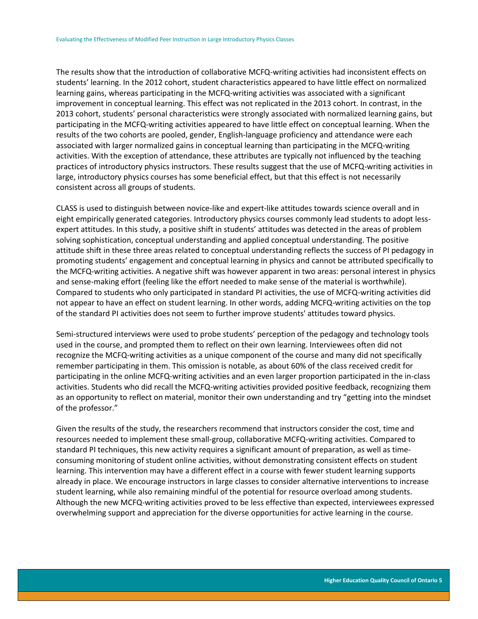The results show that the introduction of collaborative MCFQ-writing activities had inconsistent effects on students' learning. In the 2012 cohort, student characteristics appeared to have little effect on normalized learning gains, whereas participating in the MCFQ-writing activities was associated with a significant improvement in conceptual learning. This effect was not replicated in the 2013 cohort. In contrast, in the 2013 cohort, students' personal characteristics were strongly associated with normalized learning gains, but participating in the MCFQ-writing activities appeared to have little effect on conceptual learning. When the results of the two cohorts are pooled, gender, English-language proficiency and attendance were each associated with larger normalized gains in conceptual learning than participating in the MCFQ-writing activities. With the exception of attendance, these attributes are typically not influenced by the teaching practices of introductory physics instructors. These results suggest that the use of MCFQ-writing activities in large, introductory physics courses has some beneficial effect, but that this effect is not necessarily consistent across all groups of students.

CLASS is used to distinguish between novice-like and expert-like attitudes towards science overall and in eight empirically generated categories. Introductory physics courses commonly lead students to adopt lessexpert attitudes. In this study, a positive shift in students' attitudes was detected in the areas of problem solving sophistication, conceptual understanding and applied conceptual understanding. The positive attitude shift in these three areas related to conceptual understanding reflects the success of PI pedagogy in promoting students' engagement and conceptual learning in physics and cannot be attributed specifically to the MCFQ-writing activities. A negative shift was however apparent in two areas: personal interest in physics and sense-making effort (feeling like the effort needed to make sense of the material is worthwhile). Compared to students who only participated in standard PI activities, the use of MCFQ-writing activities did not appear to have an effect on student learning. In other words, adding MCFQ-writing activities on the top of the standard PI activities does not seem to further improve students' attitudes toward physics.

Semi-structured interviews were used to probe students' perception of the pedagogy and technology tools used in the course, and prompted them to reflect on their own learning. Interviewees often did not recognize the MCFQ-writing activities as a unique component of the course and many did not specifically remember participating in them. This omission is notable, as about 60% of the class received credit for participating in the online MCFQ-writing activities and an even larger proportion participated in the in-class activities. Students who did recall the MCFQ-writing activities provided positive feedback, recognizing them as an opportunity to reflect on material, monitor their own understanding and try "getting into the mindset of the professor."

Given the results of the study, the researchers recommend that instructors consider the cost, time and resources needed to implement these small-group, collaborative MCFQ-writing activities. Compared to standard PI techniques, this new activity requires a significant amount of preparation, as well as timeconsuming monitoring of student online activities, without demonstrating consistent effects on student learning. This intervention may have a different effect in a course with fewer student learning supports already in place. We encourage instructors in large classes to consider alternative interventions to increase student learning, while also remaining mindful of the potential for resource overload among students. Although the new MCFQ-writing activities proved to be less effective than expected, interviewees expressed overwhelming support and appreciation for the diverse opportunities for active learning in the course.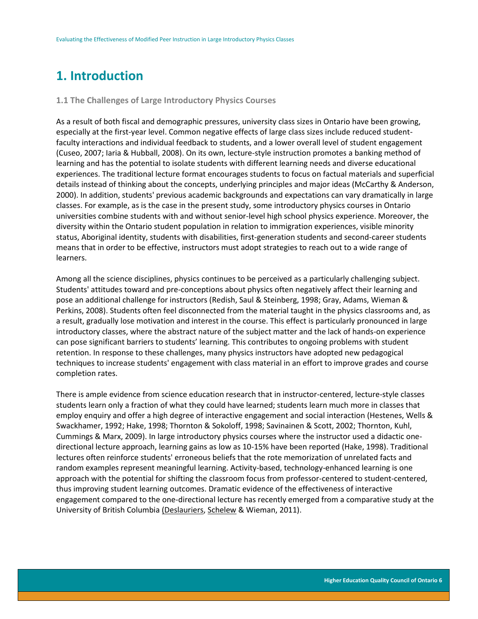# <span id="page-6-0"></span>**1. Introduction**

### <span id="page-6-1"></span>**1.1 The Challenges of Large Introductory Physics Courses**

As a result of both fiscal and demographic pressures, university class sizes in Ontario have been growing, especially at the first-year level. Common negative effects of large class sizes include reduced studentfaculty interactions and individual feedback to students, and a lower overall level of student engagement (Cuseo, 2007; Iaria & Hubball, 2008). On its own, lecture-style instruction promotes a banking method of learning and has the potential to isolate students with different learning needs and diverse educational experiences. The traditional lecture format encourages students to focus on factual materials and superficial details instead of thinking about the concepts, underlying principles and major ideas (McCarthy & Anderson, 2000). In addition, students' previous academic backgrounds and expectations can vary dramatically in large classes. For example, as is the case in the present study, some introductory physics courses in Ontario universities combine students with and without senior-level high school physics experience. Moreover, the diversity within the Ontario student population in relation to immigration experiences, visible minority status, Aboriginal identity, students with disabilities, first-generation students and second-career students means that in order to be effective, instructors must adopt strategies to reach out to a wide range of learners.

Among all the science disciplines, physics continues to be perceived as a particularly challenging subject. Students' attitudes toward and pre-conceptions about physics often negatively affect their learning and pose an additional challenge for instructors (Redish, Saul & Steinberg, 1998; Gray, Adams, Wieman & Perkins, 2008). Students often feel disconnected from the material taught in the physics classrooms and, as a result, gradually lose motivation and interest in the course. This effect is particularly pronounced in large introductory classes, where the abstract nature of the subject matter and the lack of hands-on experience can pose significant barriers to students' learning. This contributes to ongoing problems with student retention. In response to these challenges, many physics instructors have adopted new pedagogical techniques to increase students' engagement with class material in an effort to improve grades and course completion rates.

There is ample evidence from science education research that in instructor-centered, lecture-style classes students learn only a fraction of what they could have learned; students learn much more in classes that employ enquiry and offer a high degree of interactive engagement and social interaction (Hestenes, Wells & Swackhamer, 1992; Hake, 1998; Thornton & Sokoloff, 1998; Savinainen & Scott, 2002; Thornton, Kuhl, Cummings & Marx, 2009). In large introductory physics courses where the instructor used a didactic onedirectional lecture approach, learning gains as low as 10-15% have been reported (Hake, 1998). Traditional lectures often reinforce students' erroneous beliefs that the rote memorization of unrelated facts and random examples represent meaningful learning. Activity-based, technology-enhanced learning is one approach with the potential for shifting the classroom focus from professor-centered to student-centered, thus improving student learning outcomes. Dramatic evidence of the effectiveness of interactive engagement compared to the one-directional lecture has recently emerged from a comparative study at the University of British Columbia [\(Deslauriers,](http://www.sciencemag.org/search?author1=Louis+Deslauriers&sortspec=date&submit=Submit) [Schelew](http://www.sciencemag.org/search?author1=Ellen+Schelew&sortspec=date&submit=Submit) & Wieman, 2011).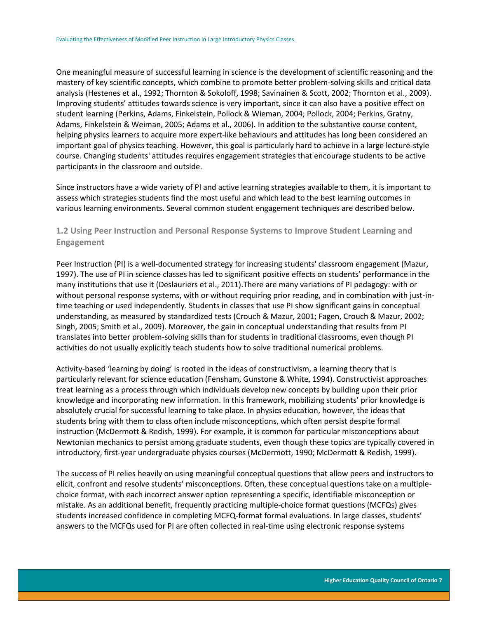One meaningful measure of successful learning in science is the development of scientific reasoning and the mastery of key scientific concepts, which combine to promote better problem-solving skills and critical data analysis (Hestenes et al., 1992; Thornton & Sokoloff, 1998; Savinainen & Scott, 2002; Thornton et al., 2009). Improving students' attitudes towards science is very important, since it can also have a positive effect on student learning (Perkins, Adams, Finkelstein, Pollock & Wieman, 2004; Pollock, 2004; Perkins, Gratny, Adams, Finkelstein & Weiman, 2005; Adams et al., 2006). In addition to the substantive course content, helping physics learners to acquire more expert-like behaviours and attitudes has long been considered an important goal of physics teaching. However, this goal is particularly hard to achieve in a large lecture-style course. Changing students' attitudes requires engagement strategies that encourage students to be active participants in the classroom and outside.

Since instructors have a wide variety of PI and active learning strategies available to them, it is important to assess which strategies students find the most useful and which lead to the best learning outcomes in various learning environments. Several common student engagement techniques are described below.

# <span id="page-7-0"></span>**1.2 Using Peer Instruction and Personal Response Systems to Improve Student Learning and Engagement**

Peer Instruction (PI) is a well-documented strategy for increasing students' classroom engagement (Mazur, 1997). The use of PI in science classes has led to significant positive effects on students' performance in the many institutions that use it (Deslauriers et al., 2011).There are many variations of PI pedagogy: with or without personal response systems, with or without requiring prior reading, and in combination with just-intime teaching or used independently. Students in classes that use PI show significant gains in conceptual understanding, as measured by standardized tests (Crouch & Mazur, 2001; Fagen, Crouch & Mazur, 2002; Singh, 2005; Smith et al., 2009). Moreover, the gain in conceptual understanding that results from PI translates into better problem-solving skills than for students in traditional classrooms, even though PI activities do not usually explicitly teach students how to solve traditional numerical problems.

Activity-based 'learning by doing' is rooted in the ideas of constructivism, a learning theory that is particularly relevant for science education (Fensham, Gunstone & White, 1994). Constructivist approaches treat learning as a process through which individuals develop new concepts by building upon their prior knowledge and incorporating new information. In this framework, mobilizing students' prior knowledge is absolutely crucial for successful learning to take place. In physics education, however, the ideas that students bring with them to class often include misconceptions, which often persist despite formal instruction (McDermott & Redish, 1999). For example, it is common for particular misconceptions about Newtonian mechanics to persist among graduate students, even though these topics are typically covered in introductory, first-year undergraduate physics courses (McDermott, 1990; McDermott & Redish, 1999).

The success of PI relies heavily on using meaningful conceptual questions that allow peers and instructors to elicit, confront and resolve students' misconceptions. Often, these conceptual questions take on a multiplechoice format, with each incorrect answer option representing a specific, identifiable misconception or mistake. As an additional benefit, frequently practicing multiple-choice format questions (MCFQs) gives students increased confidence in completing MCFQ-format formal evaluations. In large classes, students' answers to the MCFQs used for PI are often collected in real-time using electronic response systems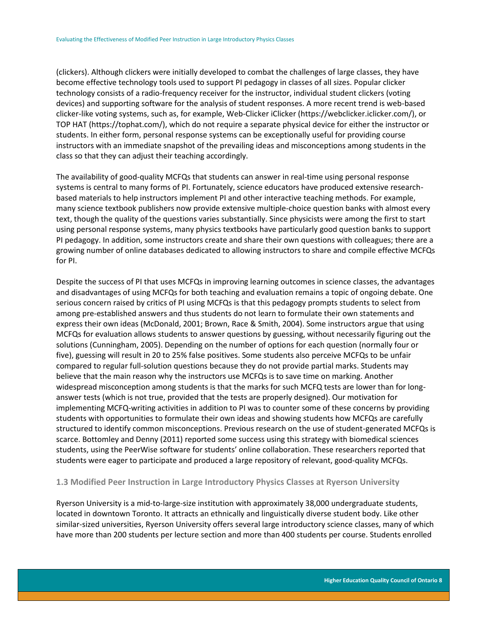(clickers). Although clickers were initially developed to combat the challenges of large classes, they have become effective technology tools used to support PI pedagogy in classes of all sizes. Popular clicker technology consists of a radio-frequency receiver for the instructor, individual student clickers (voting devices) and supporting software for the analysis of student responses. A more recent trend is web-based clicker-like voting systems, such as, for example, Web-Clicker iClicker (https://webclicker.iclicker.com/), or TOP HAT (https://tophat.com/), which do not require a separate physical device for either the instructor or students. In either form, personal response systems can be exceptionally useful for providing course instructors with an immediate snapshot of the prevailing ideas and misconceptions among students in the class so that they can adjust their teaching accordingly.

The availability of good-quality MCFQs that students can answer in real-time using personal response systems is central to many forms of PI. Fortunately, science educators have produced extensive researchbased materials to help instructors implement PI and other interactive teaching methods. For example, many science textbook publishers now provide extensive multiple-choice question banks with almost every text, though the quality of the questions varies substantially. Since physicists were among the first to start using personal response systems, many physics textbooks have particularly good question banks to support PI pedagogy. In addition, some instructors create and share their own questions with colleagues; there are a growing number of online databases dedicated to allowing instructors to share and compile effective MCFQs for PI.

Despite the success of PI that uses MCFQs in improving learning outcomes in science classes, the advantages and disadvantages of using MCFQs for both teaching and evaluation remains a topic of ongoing debate. One serious concern raised by critics of PI using MCFQs is that this pedagogy prompts students to select from among pre-established answers and thus students do not learn to formulate their own statements and express their own ideas (McDonald, 2001; Brown, Race & Smith, 2004). Some instructors argue that using MCFQs for evaluation allows students to answer questions by guessing, without necessarily figuring out the solutions (Cunningham, 2005). Depending on the number of options for each question (normally four or five), guessing will result in 20 to 25% false positives. Some students also perceive MCFQs to be unfair compared to regular full-solution questions because they do not provide partial marks. Students may believe that the main reason why the instructors use MCFQs is to save time on marking. Another widespread misconception among students is that the marks for such MCFQ tests are lower than for longanswer tests (which is not true, provided that the tests are properly designed). Our motivation for implementing MCFQ-writing activities in addition to PI was to counter some of these concerns by providing students with opportunities to formulate their own ideas and showing students how MCFQs are carefully structured to identify common misconceptions. Previous research on the use of student-generated MCFQs is scarce. Bottomley and Denny (2011) reported some success using this strategy with biomedical sciences students, using the PeerWise software for students' online collaboration. These researchers reported that students were eager to participate and produced a large repository of relevant, good-quality MCFQs.

### <span id="page-8-0"></span>**1.3 Modified Peer Instruction in Large Introductory Physics Classes at Ryerson University**

Ryerson University is a mid-to-large-size institution with approximately 38,000 undergraduate students, located in downtown Toronto. It attracts an ethnically and linguistically diverse student body. Like other similar-sized universities, Ryerson University offers several large introductory science classes, many of which have more than 200 students per lecture section and more than 400 students per course. Students enrolled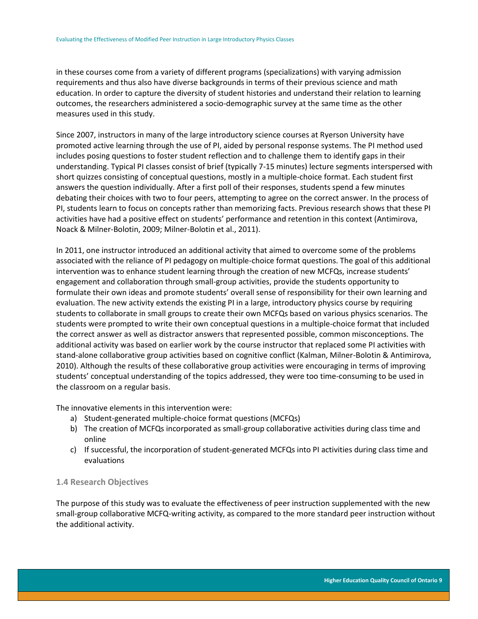in these courses come from a variety of different programs (specializations) with varying admission requirements and thus also have diverse backgrounds in terms of their previous science and math education. In order to capture the diversity of student histories and understand their relation to learning outcomes, the researchers administered a socio-demographic survey at the same time as the other measures used in this study.

Since 2007, instructors in many of the large introductory science courses at Ryerson University have promoted active learning through the use of PI, aided by personal response systems. The PI method used includes posing questions to foster student reflection and to challenge them to identify gaps in their understanding. Typical PI classes consist of brief (typically 7-15 minutes) lecture segments interspersed with short quizzes consisting of conceptual questions, mostly in a multiple-choice format. Each student first answers the question individually. After a first poll of their responses, students spend a few minutes debating their choices with two to four peers, attempting to agree on the correct answer. In the process of PI, students learn to focus on concepts rather than memorizing facts. Previous research shows that these PI activities have had a positive effect on students' performance and retention in this context (Antimirova, Noack & Milner-Bolotin, 2009; Milner-Bolotin et al., 2011).

In 2011, one instructor introduced an additional activity that aimed to overcome some of the problems associated with the reliance of PI pedagogy on multiple-choice format questions. The goal of this additional intervention was to enhance student learning through the creation of new MCFQs, increase students' engagement and collaboration through small-group activities, provide the students opportunity to formulate their own ideas and promote students' overall sense of responsibility for their own learning and evaluation. The new activity extends the existing PI in a large, introductory physics course by requiring students to collaborate in small groups to create their own MCFQs based on various physics scenarios. The students were prompted to write their own conceptual questions in a multiple-choice format that included the correct answer as well as distractor answers that represented possible, common misconceptions. The additional activity was based on earlier work by the course instructor that replaced some PI activities with stand-alone collaborative group activities based on cognitive conflict (Kalman, Milner-Bolotin & Antimirova, 2010). Although the results of these collaborative group activities were encouraging in terms of improving students' conceptual understanding of the topics addressed, they were too time-consuming to be used in the classroom on a regular basis.

The innovative elements in this intervention were:

- a) Student-generated multiple-choice format questions (MCFQs)
- b) The creation of MCFQs incorporated as small-group collaborative activities during class time and online
- c) If successful, the incorporation of student-generated MCFQs into PI activities during class time and evaluations

# <span id="page-9-0"></span>**1.4 Research Objectives**

The purpose of this study was to evaluate the effectiveness of peer instruction supplemented with the new small-group collaborative MCFQ-writing activity, as compared to the more standard peer instruction without the additional activity.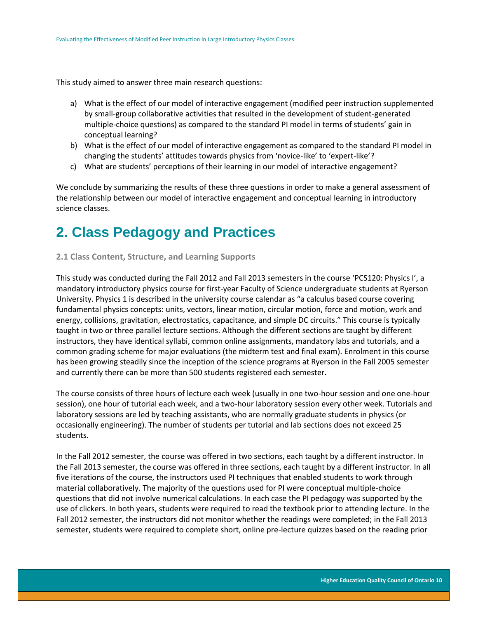This study aimed to answer three main research questions:

- a) What is the effect of our model of interactive engagement (modified peer instruction supplemented by small-group collaborative activities that resulted in the development of student-generated multiple-choice questions) as compared to the standard PI model in terms of students' gain in conceptual learning?
- b) What is the effect of our model of interactive engagement as compared to the standard PI model in changing the students' attitudes towards physics from 'novice-like' to 'expert-like'?
- c) What are students' perceptions of their learning in our model of interactive engagement?

We conclude by summarizing the results of these three questions in order to make a general assessment of the relationship between our model of interactive engagement and conceptual learning in introductory science classes.

# <span id="page-10-0"></span>**2. Class Pedagogy and Practices**

### <span id="page-10-1"></span>**2.1 Class Content, Structure, and Learning Supports**

This study was conducted during the Fall 2012 and Fall 2013 semesters in the course 'PCS120: Physics I', a mandatory introductory physics course for first-year Faculty of Science undergraduate students at Ryerson University. Physics 1 is described in the university course calendar as "a calculus based course covering fundamental physics concepts: units, vectors, linear motion, circular motion, force and motion, work and energy, collisions, gravitation, electrostatics, capacitance, and simple DC circuits." This course is typically taught in two or three parallel lecture sections. Although the different sections are taught by different instructors, they have identical syllabi, common online assignments, mandatory labs and tutorials, and a common grading scheme for major evaluations (the midterm test and final exam). Enrolment in this course has been growing steadily since the inception of the science programs at Ryerson in the Fall 2005 semester and currently there can be more than 500 students registered each semester.

The course consists of three hours of lecture each week (usually in one two-hour session and one one-hour session), one hour of tutorial each week, and a two-hour laboratory session every other week. Tutorials and laboratory sessions are led by teaching assistants, who are normally graduate students in physics (or occasionally engineering). The number of students per tutorial and lab sections does not exceed 25 students.

In the Fall 2012 semester, the course was offered in two sections, each taught by a different instructor. In the Fall 2013 semester, the course was offered in three sections, each taught by a different instructor. In all five iterations of the course, the instructors used PI techniques that enabled students to work through material collaboratively. The majority of the questions used for PI were conceptual multiple-choice questions that did not involve numerical calculations. In each case the PI pedagogy was supported by the use of clickers. In both years, students were required to read the textbook prior to attending lecture. In the Fall 2012 semester, the instructors did not monitor whether the readings were completed; in the Fall 2013 semester, students were required to complete short, online pre-lecture quizzes based on the reading prior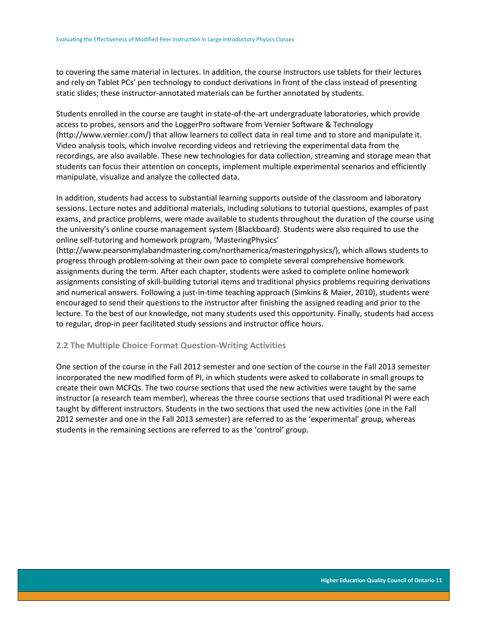to covering the same material in lectures. In addition, the course instructors use tablets for their lectures and rely on Tablet PCs' pen technology to conduct derivations in front of the class instead of presenting static slides; these instructor-annotated materials can be further annotated by students.

Students enrolled in the course are taught in state-of-the-art undergraduate laboratories, which provide access to probes, sensors and the LoggerPro software from Vernier Software & Technology (http://www.vernier.com/) that allow learners to collect data in real time and to store and manipulate it. Video analysis tools, which involve recording videos and retrieving the experimental data from the recordings, are also available. These new technologies for data collection, streaming and storage mean that students can focus their attention on concepts, implement multiple experimental scenarios and efficiently manipulate, visualize and analyze the collected data.

In addition, students had access to substantial learning supports outside of the classroom and laboratory sessions. Lecture notes and additional materials, including solutions to tutorial questions, examples of past exams, and practice problems, were made available to students throughout the duration of the course using the university's online course management system (Blackboard). Students were also required to use the online self-tutoring and homework program, 'MasteringPhysics'

(http://www.pearsonmylabandmastering.com/northamerica/masteringphysics/), which allows students to progress through problem-solving at their own pace to complete several comprehensive homework assignments during the term. After each chapter, students were asked to complete online homework assignments consisting of skill-building tutorial items and traditional physics problems requiring derivations and numerical answers. Following a just-in-time teaching approach (Simkins & Maier, 2010), students were encouraged to send their questions to the instructor after finishing the assigned reading and prior to the lecture. To the best of our knowledge, not many students used this opportunity. Finally, students had access to regular, drop-in peer facilitated study sessions and instructor office hours.

### <span id="page-11-0"></span>**2.2 The Multiple Choice Format Question-Writing Activities**

One section of the course in the Fall 2012 semester and one section of the course in the Fall 2013 semester incorporated the new modified form of PI, in which students were asked to collaborate in small groups to create their own MCFQs. The two course sections that used the new activities were taught by the same instructor (a research team member), whereas the three course sections that used traditional PI were each taught by different instructors. Students in the two sections that used the new activities (one in the Fall 2012 semester and one in the Fall 2013 semester) are referred to as the 'experimental' group, whereas students in the remaining sections are referred to as the 'control' group.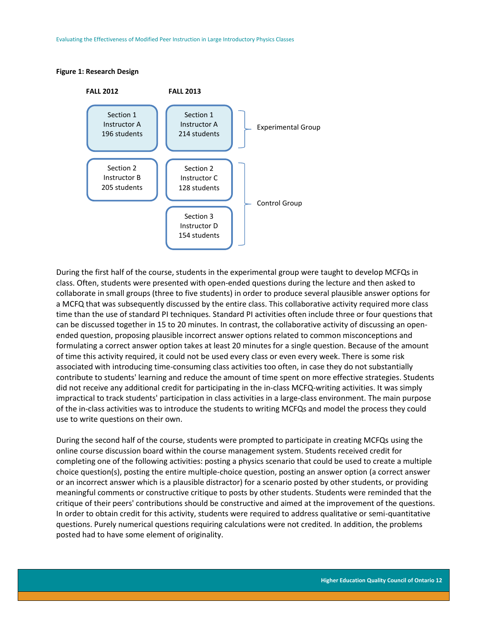#### <span id="page-12-0"></span>**Figure 1: Research Design**



During the first half of the course, students in the experimental group were taught to develop MCFQs in class. Often, students were presented with open-ended questions during the lecture and then asked to collaborate in small groups (three to five students) in order to produce several plausible answer options for a MCFQ that was subsequently discussed by the entire class. This collaborative activity required more class time than the use of standard PI techniques. Standard PI activities often include three or four questions that can be discussed together in 15 to 20 minutes. In contrast, the collaborative activity of discussing an openended question, proposing plausible incorrect answer options related to common misconceptions and formulating a correct answer option takes at least 20 minutes for a single question. Because of the amount of time this activity required, it could not be used every class or even every week. There is some risk associated with introducing time-consuming class activities too often, in case they do not substantially contribute to students' learning and reduce the amount of time spent on more effective strategies. Students did not receive any additional credit for participating in the in-class MCFQ-writing activities. It was simply impractical to track students' participation in class activities in a large-class environment. The main purpose of the in-class activities was to introduce the students to writing MCFQs and model the process they could use to write questions on their own.

During the second half of the course, students were prompted to participate in creating MCFQs using the online course discussion board within the course management system. Students received credit for completing one of the following activities: posting a physics scenario that could be used to create a multiple choice question(s), posting the entire multiple-choice question, posting an answer option (a correct answer or an incorrect answer which is a plausible distractor) for a scenario posted by other students, or providing meaningful comments or constructive critique to posts by other students. Students were reminded that the critique of their peers' contributions should be constructive and aimed at the improvement of the questions. In order to obtain credit for this activity, students were required to address qualitative or semi-quantitative questions. Purely numerical questions requiring calculations were not credited. In addition, the problems posted had to have some element of originality.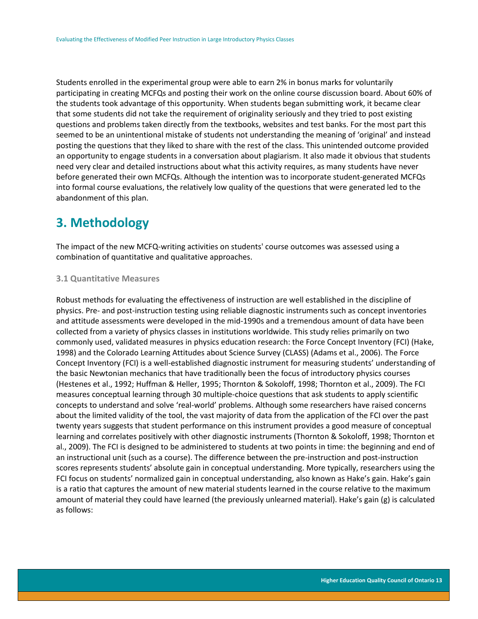Students enrolled in the experimental group were able to earn 2% in bonus marks for voluntarily participating in creating MCFQs and posting their work on the online course discussion board. About 60% of the students took advantage of this opportunity. When students began submitting work, it became clear that some students did not take the requirement of originality seriously and they tried to post existing questions and problems taken directly from the textbooks, websites and test banks. For the most part this seemed to be an unintentional mistake of students not understanding the meaning of 'original' and instead posting the questions that they liked to share with the rest of the class. This unintended outcome provided an opportunity to engage students in a conversation about plagiarism. It also made it obvious that students need very clear and detailed instructions about what this activity requires, as many students have never before generated their own MCFQs. Although the intention was to incorporate student-generated MCFQs into formal course evaluations, the relatively low quality of the questions that were generated led to the abandonment of this plan.

# <span id="page-13-0"></span>**3. Methodology**

The impact of the new MCFQ-writing activities on students' course outcomes was assessed using a combination of quantitative and qualitative approaches.

### <span id="page-13-1"></span>**3.1 Quantitative Measures**

Robust methods for evaluating the effectiveness of instruction are well established in the discipline of physics. Pre- and post-instruction testing using reliable diagnostic instruments such as concept inventories and attitude assessments were developed in the mid-1990s and a tremendous amount of data have been collected from a variety of physics classes in institutions worldwide. This study relies primarily on two commonly used, validated measures in physics education research: the Force Concept Inventory (FCI) (Hake, 1998) and the Colorado Learning Attitudes about Science Survey (CLASS) (Adams et al., 2006). The Force Concept Inventory (FCI) is a well-established diagnostic instrument for measuring students' understanding of the basic Newtonian mechanics that have traditionally been the focus of introductory physics courses (Hestenes et al., 1992; Huffman & Heller, 1995; Thornton & Sokoloff, 1998; Thornton et al., 2009). The FCI measures conceptual learning through 30 multiple-choice questions that ask students to apply scientific concepts to understand and solve 'real-world' problems. Although some researchers have raised concerns about the limited validity of the tool, the vast majority of data from the application of the FCI over the past twenty years suggests that student performance on this instrument provides a good measure of conceptual learning and correlates positively with other diagnostic instruments (Thornton & Sokoloff, 1998; Thornton et al., 2009). The FCI is designed to be administered to students at two points in time: the beginning and end of an instructional unit (such as a course). The difference between the pre-instruction and post-instruction scores represents students' absolute gain in conceptual understanding. More typically, researchers using the FCI focus on students' normalized gain in conceptual understanding, also known as Hake's gain. Hake's gain is a ratio that captures the amount of new material students learned in the course relative to the maximum amount of material they could have learned (the previously unlearned material). Hake's gain (g) is calculated as follows: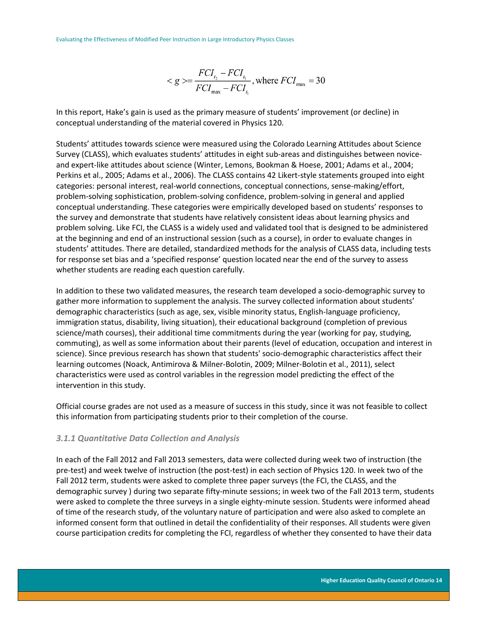$$
\langle g \rangle = \frac{FCI_{t_2} - FCI_{t_1}}{FCI_{\text{max}} - FCI_{t_1}}, \text{where } FCI_{\text{max}} = 30
$$

In this report, Hake's gain is used as the primary measure of students' improvement (or decline) in conceptual understanding of the material covered in Physics 120.

Students' attitudes towards science were measured using the Colorado Learning Attitudes about Science Survey (CLASS), which evaluates students' attitudes in eight sub-areas and distinguishes between noviceand expert-like attitudes about science (Winter, Lemons, Bookman & Hoese, 2001; Adams et al., 2004; Perkins et al., 2005; Adams et al., 2006). The CLASS contains 42 Likert-style statements grouped into eight categories: personal interest, real-world connections, conceptual connections, sense-making/effort, problem-solving sophistication, problem-solving confidence, problem-solving in general and applied conceptual understanding. These categories were empirically developed based on students' responses to the survey and demonstrate that students have relatively consistent ideas about learning physics and problem solving. Like FCI, the CLASS is a widely used and validated tool that is designed to be administered at the beginning and end of an instructional session (such as a course), in order to evaluate changes in students' attitudes. There are detailed, standardized methods for the analysis of CLASS data, including tests for response set bias and a 'specified response' question located near the end of the survey to assess whether students are reading each question carefully.

In addition to these two validated measures, the research team developed a socio-demographic survey to gather more information to supplement the analysis. The survey collected information about students' demographic characteristics (such as age, sex, visible minority status, English-language proficiency, immigration status, disability, living situation), their educational background (completion of previous science/math courses), their additional time commitments during the year (working for pay, studying, commuting), as well as some information about their parents (level of education, occupation and interest in science). Since previous research has shown that students' socio-demographic characteristics affect their learning outcomes (Noack, Antimirova & Milner-Bolotin, 2009; Milner-Bolotin et al., 2011), select characteristics were used as control variables in the regression model predicting the effect of the intervention in this study.

Official course grades are not used as a measure of success in this study, since it was not feasible to collect this information from participating students prior to their completion of the course.

# <span id="page-14-0"></span>*3.1.1 Quantitative Data Collection and Analysis*

In each of the Fall 2012 and Fall 2013 semesters, data were collected during week two of instruction (the pre-test) and week twelve of instruction (the post-test) in each section of Physics 120. In week two of the Fall 2012 term, students were asked to complete three paper surveys (the FCI, the CLASS, and the demographic survey ) during two separate fifty-minute sessions; in week two of the Fall 2013 term, students were asked to complete the three surveys in a single eighty-minute session. Students were informed ahead of time of the research study, of the voluntary nature of participation and were also asked to complete an informed consent form that outlined in detail the confidentiality of their responses. All students were given course participation credits for completing the FCI, regardless of whether they consented to have their data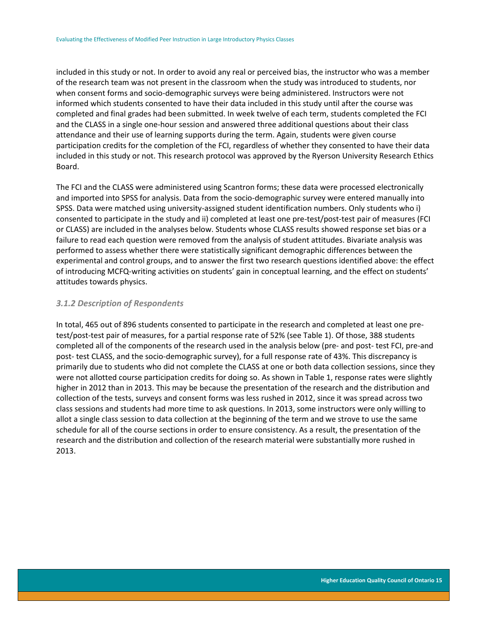included in this study or not. In order to avoid any real or perceived bias, the instructor who was a member of the research team was not present in the classroom when the study was introduced to students, nor when consent forms and socio-demographic surveys were being administered. Instructors were not informed which students consented to have their data included in this study until after the course was completed and final grades had been submitted. In week twelve of each term, students completed the FCI and the CLASS in a single one-hour session and answered three additional questions about their class attendance and their use of learning supports during the term. Again, students were given course participation credits for the completion of the FCI, regardless of whether they consented to have their data included in this study or not. This research protocol was approved by the Ryerson University Research Ethics Board.

The FCI and the CLASS were administered using Scantron forms; these data were processed electronically and imported into SPSS for analysis. Data from the socio-demographic survey were entered manually into SPSS. Data were matched using university-assigned student identification numbers. Only students who i) consented to participate in the study and ii) completed at least one pre-test/post-test pair of measures (FCI or CLASS) are included in the analyses below. Students whose CLASS results showed response set bias or a failure to read each question were removed from the analysis of student attitudes. Bivariate analysis was performed to assess whether there were statistically significant demographic differences between the experimental and control groups, and to answer the first two research questions identified above: the effect of introducing MCFQ-writing activities on students' gain in conceptual learning, and the effect on students' attitudes towards physics.

## <span id="page-15-0"></span>*3.1.2 Description of Respondents*

In total, 465 out of 896 students consented to participate in the research and completed at least one pretest/post-test pair of measures, for a partial response rate of 52% (see Table 1). Of those, 388 students completed all of the components of the research used in the analysis below (pre- and post- test FCI, pre-and post- test CLASS, and the socio-demographic survey), for a full response rate of 43%. This discrepancy is primarily due to students who did not complete the CLASS at one or both data collection sessions, since they were not allotted course participation credits for doing so. As shown in Table 1, response rates were slightly higher in 2012 than in 2013. This may be because the presentation of the research and the distribution and collection of the tests, surveys and consent forms was less rushed in 2012, since it was spread across two class sessions and students had more time to ask questions. In 2013, some instructors were only willing to allot a single class session to data collection at the beginning of the term and we strove to use the same schedule for all of the course sections in order to ensure consistency. As a result, the presentation of the research and the distribution and collection of the research material were substantially more rushed in 2013.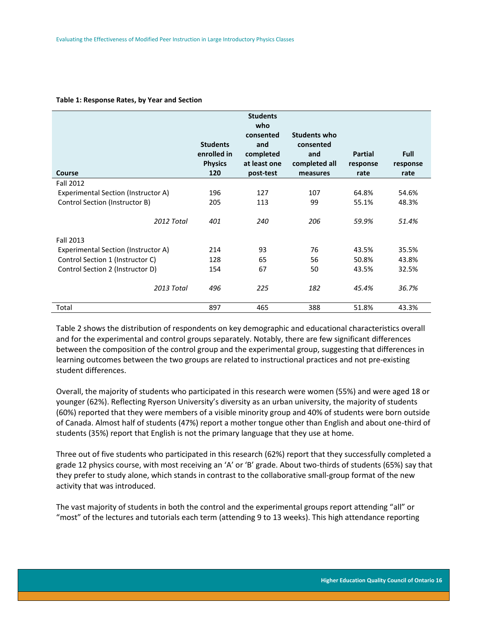|                                     | <b>Students</b><br>enrolled in<br><b>Physics</b> | <b>Students</b><br>who<br>consented<br>and<br>completed<br>at least one | <b>Students who</b><br>consented<br>and<br>completed all | <b>Partial</b><br>response | <b>Full</b><br>response |
|-------------------------------------|--------------------------------------------------|-------------------------------------------------------------------------|----------------------------------------------------------|----------------------------|-------------------------|
| Course                              | 120                                              | post-test                                                               | measures                                                 | rate                       | rate                    |
| <b>Fall 2012</b>                    |                                                  |                                                                         |                                                          |                            |                         |
| Experimental Section (Instructor A) | 196                                              | 127                                                                     | 107                                                      | 64.8%                      | 54.6%                   |
| Control Section (Instructor B)      | 205                                              | 113                                                                     | 99                                                       | 55.1%                      | 48.3%                   |
| 2012 Total                          | 401                                              | 240                                                                     | 206                                                      | 59.9%                      | 51.4%                   |
| Fall 2013                           |                                                  |                                                                         |                                                          |                            |                         |
| Experimental Section (Instructor A) | 214                                              | 93                                                                      | 76                                                       | 43.5%                      | 35.5%                   |
| Control Section 1 (Instructor C)    | 128                                              | 65                                                                      | 56                                                       | 50.8%                      | 43.8%                   |
| Control Section 2 (Instructor D)    | 154                                              | 67                                                                      | 50                                                       | 43.5%                      | 32.5%                   |
| 2013 Total                          | 496                                              | 225                                                                     | 182                                                      | 45.4%                      | 36.7%                   |
| Total                               | 897                                              | 465                                                                     | 388                                                      | 51.8%                      | 43.3%                   |

#### <span id="page-16-0"></span>**Table 1: Response Rates, by Year and Section**

Table 2 shows the distribution of respondents on key demographic and educational characteristics overall and for the experimental and control groups separately. Notably, there are few significant differences between the composition of the control group and the experimental group, suggesting that differences in learning outcomes between the two groups are related to instructional practices and not pre-existing student differences.

Overall, the majority of students who participated in this research were women (55%) and were aged 18 or younger (62%). Reflecting Ryerson University's diversity as an urban university, the majority of students (60%) reported that they were members of a visible minority group and 40% of students were born outside of Canada. Almost half of students (47%) report a mother tongue other than English and about one-third of students (35%) report that English is not the primary language that they use at home.

Three out of five students who participated in this research (62%) report that they successfully completed a grade 12 physics course, with most receiving an 'A' or 'B' grade. About two-thirds of students (65%) say that they prefer to study alone, which stands in contrast to the collaborative small-group format of the new activity that was introduced.

The vast majority of students in both the control and the experimental groups report attending "all" or "most" of the lectures and tutorials each term (attending 9 to 13 weeks). This high attendance reporting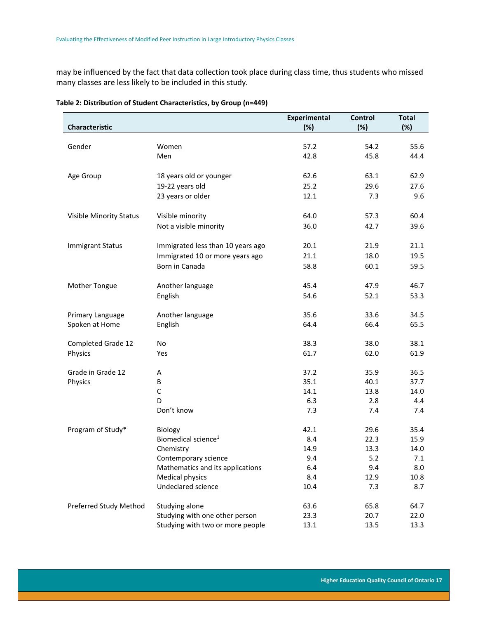may be influenced by the fact that data collection took place during class time, thus students who missed many classes are less likely to be included in this study.

| Characteristic          |                                            | <b>Experimental</b><br>(%) | <b>Control</b><br>(%) | <b>Total</b><br>(%) |
|-------------------------|--------------------------------------------|----------------------------|-----------------------|---------------------|
|                         |                                            |                            |                       |                     |
| Gender                  | Women                                      | 57.2                       | 54.2                  | 55.6                |
|                         | Men                                        | 42.8                       | 45.8                  | 44.4                |
| Age Group               | 18 years old or younger                    | 62.6                       | 63.1                  | 62.9                |
|                         | 19-22 years old                            | 25.2                       | 29.6                  | 27.6                |
|                         | 23 years or older                          | 12.1                       | 7.3                   | 9.6                 |
|                         |                                            |                            |                       |                     |
| Visible Minority Status | Visible minority                           | 64.0                       | 57.3                  | 60.4                |
|                         | Not a visible minority                     | 36.0                       | 42.7                  | 39.6                |
| <b>Immigrant Status</b> | Immigrated less than 10 years ago          | 20.1                       | 21.9                  | 21.1                |
|                         | Immigrated 10 or more years ago            | 21.1                       | 18.0                  | 19.5                |
|                         | Born in Canada                             | 58.8                       | 60.1                  | 59.5                |
| Mother Tongue           | Another language                           | 45.4                       | 47.9                  | 46.7                |
|                         |                                            |                            |                       | 53.3                |
|                         | English                                    | 54.6                       | 52.1                  |                     |
| Primary Language        | Another language                           | 35.6                       | 33.6                  | 34.5                |
| Spoken at Home          | English                                    | 64.4                       | 66.4                  | 65.5                |
| Completed Grade 12      | <b>No</b>                                  | 38.3                       | 38.0                  | 38.1                |
| Physics                 | Yes                                        | 61.7                       | 62.0                  | 61.9                |
| Grade in Grade 12       | Α                                          | 37.2                       | 35.9                  | 36.5                |
| Physics                 | B                                          | 35.1                       | 40.1                  | 37.7                |
|                         | $\mathsf C$                                | 14.1                       | 13.8                  | 14.0                |
|                         | D                                          | 6.3                        | 2.8                   | 4.4                 |
|                         | Don't know                                 | 7.3                        | 7.4                   | 7.4                 |
|                         |                                            | 42.1                       |                       |                     |
| Program of Study*       | Biology<br>Biomedical science <sup>1</sup> | 8.4                        | 29.6<br>22.3          | 35.4                |
|                         | Chemistry                                  | 14.9                       | 13.3                  | 15.9<br>14.0        |
|                         |                                            |                            | 5.2                   | 7.1                 |
|                         | Contemporary science                       | 9.4                        |                       |                     |
|                         | Mathematics and its applications           | 6.4                        | 9.4                   | 8.0                 |
|                         | <b>Medical physics</b>                     | 8.4                        | 12.9                  | 10.8                |
|                         | Undeclared science                         | 10.4                       | 7.3                   | 8.7                 |
| Preferred Study Method  | Studying alone                             | 63.6                       | 65.8                  | 64.7                |
|                         | Studying with one other person             | 23.3                       | 20.7                  | 22.0                |
|                         | Studying with two or more people           | 13.1                       | 13.5                  | 13.3                |

## <span id="page-17-0"></span>**Table 2: Distribution of Student Characteristics, by Group (n=449)**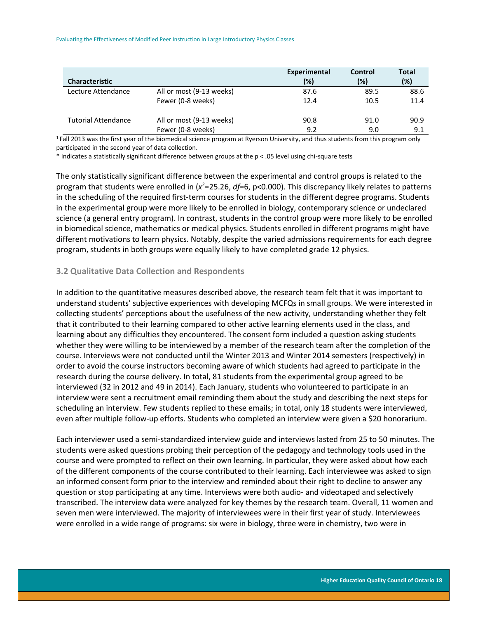Evaluating the Effectiveness of Modified Peer Instruction in Large Introductory Physics Classes

|                            |                          | Experimental | Control | <b>Total</b> |
|----------------------------|--------------------------|--------------|---------|--------------|
| <b>Characteristic</b>      |                          | $(\%)$       | (%)     | (%)          |
| Lecture Attendance         | All or most (9-13 weeks) | 87.6         | 89.5    | 88.6         |
|                            | Fewer (0-8 weeks)        | 12.4         | 10.5    | 11.4         |
| <b>Tutorial Attendance</b> | All or most (9-13 weeks) | 90.8         | 91.0    | 90.9         |
|                            | Fewer (0-8 weeks)        | 9.2          | 9.0     | 9.1          |

<sup>1</sup> Fall 2013 was the first year of the biomedical science program at Ryerson University, and thus students from this program only participated in the second year of data collection.

\* Indicates a statistically significant difference between groups at the p < .05 level using chi-square tests

The only statistically significant difference between the experimental and control groups is related to the program that students were enrolled in (*x* <sup>2</sup>=25.26, *df*=6, p<0.000). This discrepancy likely relates to patterns in the scheduling of the required first-term courses for students in the different degree programs. Students in the experimental group were more likely to be enrolled in biology, contemporary science or undeclared science (a general entry program). In contrast, students in the control group were more likely to be enrolled in biomedical science, mathematics or medical physics. Students enrolled in different programs might have different motivations to learn physics. Notably, despite the varied admissions requirements for each degree program, students in both groups were equally likely to have completed grade 12 physics.

# <span id="page-18-0"></span>**3.2 Qualitative Data Collection and Respondents**

In addition to the quantitative measures described above, the research team felt that it was important to understand students' subjective experiences with developing MCFQs in small groups. We were interested in collecting students' perceptions about the usefulness of the new activity, understanding whether they felt that it contributed to their learning compared to other active learning elements used in the class, and learning about any difficulties they encountered. The consent form included a question asking students whether they were willing to be interviewed by a member of the research team after the completion of the course. Interviews were not conducted until the Winter 2013 and Winter 2014 semesters (respectively) in order to avoid the course instructors becoming aware of which students had agreed to participate in the research during the course delivery. In total, 81 students from the experimental group agreed to be interviewed (32 in 2012 and 49 in 2014). Each January, students who volunteered to participate in an interview were sent a recruitment email reminding them about the study and describing the next steps for scheduling an interview. Few students replied to these emails; in total, only 18 students were interviewed, even after multiple follow-up efforts. Students who completed an interview were given a \$20 honorarium.

Each interviewer used a semi-standardized interview guide and interviews lasted from 25 to 50 minutes. The students were asked questions probing their perception of the pedagogy and technology tools used in the course and were prompted to reflect on their own learning. In particular, they were asked about how each of the different components of the course contributed to their learning. Each interviewee was asked to sign an informed consent form prior to the interview and reminded about their right to decline to answer any question or stop participating at any time. Interviews were both audio- and videotaped and selectively transcribed. The interview data were analyzed for key themes by the research team. Overall, 11 women and seven men were interviewed. The majority of interviewees were in their first year of study. Interviewees were enrolled in a wide range of programs: six were in biology, three were in chemistry, two were in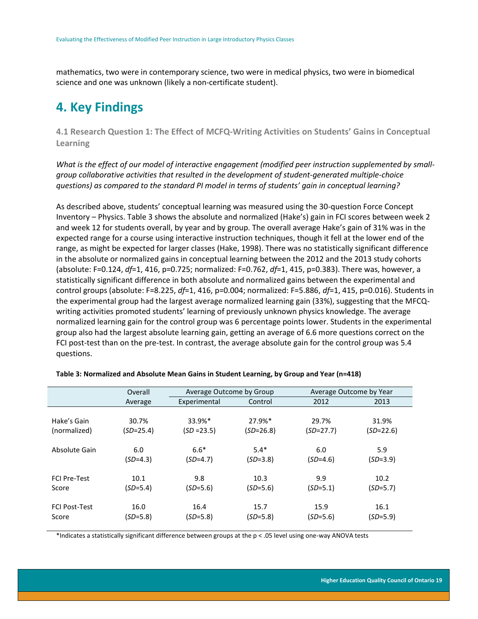mathematics, two were in contemporary science, two were in medical physics, two were in biomedical science and one was unknown (likely a non-certificate student).

# <span id="page-19-0"></span>**4. Key Findings**

<span id="page-19-1"></span>**4.1 Research Question 1: The Effect of MCFQ-Writing Activities on Students' Gains in Conceptual Learning**

*What is the effect of our model of interactive engagement (modified peer instruction supplemented by smallgroup collaborative activities that resulted in the development of student-generated multiple-choice questions) as compared to the standard PI model in terms of students' gain in conceptual learning?* 

As described above, students' conceptual learning was measured using the 30-question Force Concept Inventory – Physics. Table 3 shows the absolute and normalized (Hake's) gain in FCI scores between week 2 and week 12 for students overall, by year and by group. The overall average Hake's gain of 31% was in the expected range for a course using interactive instruction techniques, though it fell at the lower end of the range, as might be expected for larger classes (Hake, 1998). There was no statistically significant difference in the absolute or normalized gains in conceptual learning between the 2012 and the 2013 study cohorts (absolute: F=0.124, *df*=1, 416, p=0.725; normalized: F=0.762, *df*=1, 415, p=0.383). There was, however, a statistically significant difference in both absolute and normalized gains between the experimental and control groups (absolute: F=8.225, *df*=1, 416, p=0.004; normalized: F=5.886, *df*=1, 415, p=0.016). Students in the experimental group had the largest average normalized learning gain (33%), suggesting that the MFCQwriting activities promoted students' learning of previously unknown physics knowledge. The average normalized learning gain for the control group was 6 percentage points lower. Students in the experimental group also had the largest absolute learning gain, getting an average of 6.6 more questions correct on the FCI post-test than on the pre-test. In contrast, the average absolute gain for the control group was 5.4 questions.

|                      | Overall     | Average Outcome by Group |             | Average Outcome by Year |             |
|----------------------|-------------|--------------------------|-------------|-------------------------|-------------|
|                      | Average     | Experimental             | Control     | 2012                    | 2013        |
| Hake's Gain          | 30.7%       | 33.9%*                   | 27.9%*      | 29.7%                   | 31.9%       |
| (normalized)         | $(SD=25.4)$ | $(SD = 23.5)$            | $(SD=26.8)$ | $(SD=27.7)$             | $(SD=22.6)$ |
| Absolute Gain        | 6.0         | $6.6*$                   | $5.4*$      | 6.0                     | 5.9         |
|                      | $(SD=4.3)$  | $(SD=4.7)$               | $(SD=3.8)$  | $(SD=4.6)$              | $(SD=3.9)$  |
| <b>FCI Pre-Test</b>  | 10.1        | 9.8                      | 10.3        | 9.9                     | 10.2        |
| Score                | $(SD=5.4)$  | $(SD=5.6)$               | $(SD=5.6)$  | $(SD=5.1)$              | $(SD=5.7)$  |
| <b>FCI Post-Test</b> | 16.0        | 16.4                     | 15.7        | 15.9                    | 16.1        |
| Score                | $(SD=5.8)$  | (SD=5.8)                 | $(SD=5.8)$  | $(SD=5.6)$              | $(SD=5.9)$  |

#### <span id="page-19-2"></span>**Table 3: Normalized and Absolute Mean Gains in Student Learning, by Group and Year (n=418)**

\*Indicates a statistically significant difference between groups at the p < .05 level using one-way ANOVA tests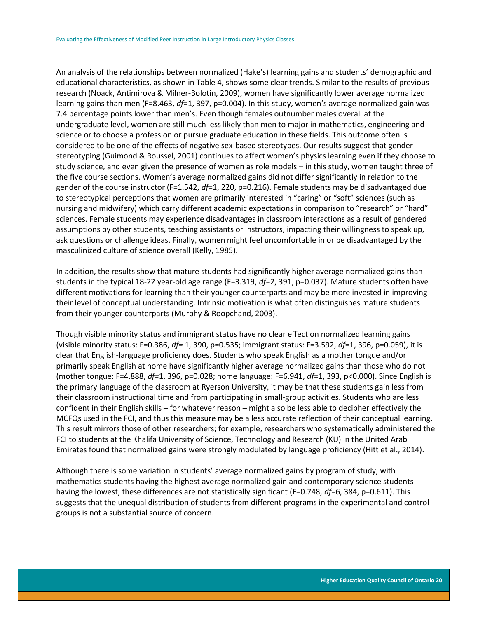An analysis of the relationships between normalized (Hake's) learning gains and students' demographic and educational characteristics, as shown in Table 4, shows some clear trends. Similar to the results of previous research (Noack, Antimirova & Milner-Bolotin, 2009), women have significantly lower average normalized learning gains than men (F=8.463, *df*=1, 397, p=0.004). In this study, women's average normalized gain was 7.4 percentage points lower than men's. Even though females outnumber males overall at the undergraduate level, women are still much less likely than men to major in mathematics, engineering and science or to choose a profession or pursue graduate education in these fields. This outcome often is considered to be one of the effects of negative sex-based stereotypes. Our results suggest that gender stereotyping (Guimond & Roussel, 2001) continues to affect women's physics learning even if they choose to study science, and even given the presence of women as role models – in this study, women taught three of the five course sections. Women's average normalized gains did not differ significantly in relation to the gender of the course instructor (F=1.542, *df*=1, 220, p=0.216). Female students may be disadvantaged due to stereotypical perceptions that women are primarily interested in "caring" or "soft" sciences (such as nursing and midwifery) which carry different academic expectations in comparison to "research" or "hard" sciences. Female students may experience disadvantages in classroom interactions as a result of gendered assumptions by other students, teaching assistants or instructors, impacting their willingness to speak up, ask questions or challenge ideas. Finally, women might feel uncomfortable in or be disadvantaged by the masculinized culture of science overall (Kelly, 1985).

In addition, the results show that mature students had significantly higher average normalized gains than students in the typical 18-22 year-old age range (F=3.319, *df*=2, 391, p=0.037). Mature students often have different motivations for learning than their younger counterparts and may be more invested in improving their level of conceptual understanding. Intrinsic motivation is what often distinguishes mature students from their younger counterparts (Murphy & Roopchand, 2003).

Though visible minority status and immigrant status have no clear effect on normalized learning gains (visible minority status: F=0.386, *df=* 1, 390, p=0.535; immigrant status: F=3.592, *df*=1, 396, p=0.059), it is clear that English-language proficiency does. Students who speak English as a mother tongue and/or primarily speak English at home have significantly higher average normalized gains than those who do not (mother tongue: F=4.888, *df=*1, 396, p=0.028; home language: F=6.941, *df*=1, 393, p<0.000). Since English is the primary language of the classroom at Ryerson University, it may be that these students gain less from their classroom instructional time and from participating in small-group activities. Students who are less confident in their English skills – for whatever reason – might also be less able to decipher effectively the MCFQs used in the FCI, and thus this measure may be a less accurate reflection of their conceptual learning. This result mirrors those of other researchers; for example, researchers who systematically administered the FCI to students at the Khalifa University of Science, Technology and Research (KU) in the United Arab Emirates found that normalized gains were strongly modulated by language proficiency (Hitt et al., 2014).

Although there is some variation in students' average normalized gains by program of study, with mathematics students having the highest average normalized gain and contemporary science students having the lowest, these differences are not statistically significant (F=0.748, *df=*6, 384, p=0.611). This suggests that the unequal distribution of students from different programs in the experimental and control groups is not a substantial source of concern.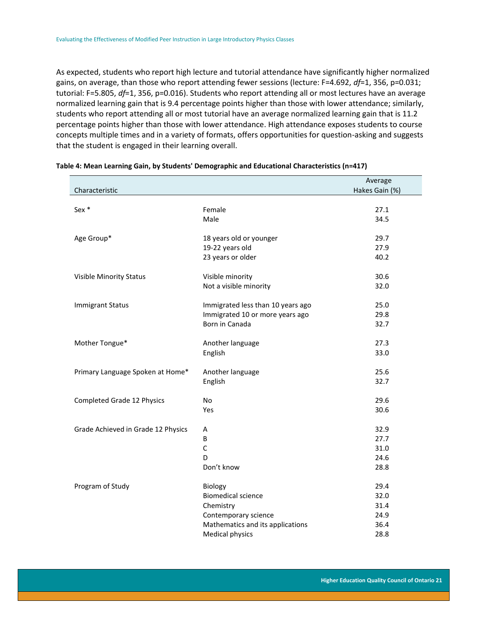As expected, students who report high lecture and tutorial attendance have significantly higher normalized gains, on average, than those who report attending fewer sessions (lecture: F=4.692, *df*=1, 356, p=0.031; tutorial: F=5.805, *df*=1, 356, p=0.016). Students who report attending all or most lectures have an average normalized learning gain that is 9.4 percentage points higher than those with lower attendance; similarly, students who report attending all or most tutorial have an average normalized learning gain that is 11.2 percentage points higher than those with lower attendance. High attendance exposes students to course concepts multiple times and in a variety of formats, offers opportunities for question-asking and suggests that the student is engaged in their learning overall.

|                                    |                                   | Average        |
|------------------------------------|-----------------------------------|----------------|
| Characteristic                     |                                   | Hakes Gain (%) |
|                                    |                                   |                |
| Sex *                              | Female                            | 27.1           |
|                                    | Male                              | 34.5           |
| Age Group*                         | 18 years old or younger           | 29.7           |
|                                    | 19-22 years old                   | 27.9           |
|                                    | 23 years or older                 | 40.2           |
| <b>Visible Minority Status</b>     | Visible minority                  | 30.6           |
|                                    | Not a visible minority            | 32.0           |
|                                    |                                   |                |
| <b>Immigrant Status</b>            | Immigrated less than 10 years ago | 25.0           |
|                                    | Immigrated 10 or more years ago   | 29.8           |
|                                    | Born in Canada                    | 32.7           |
| Mother Tongue*                     | Another language                  | 27.3           |
|                                    | English                           | 33.0           |
| Primary Language Spoken at Home*   | Another language                  | 25.6           |
|                                    |                                   | 32.7           |
|                                    | English                           |                |
| Completed Grade 12 Physics         | No                                | 29.6           |
|                                    | Yes                               | 30.6           |
| Grade Achieved in Grade 12 Physics | A                                 | 32.9           |
|                                    | B                                 | 27.7           |
|                                    | C                                 | 31.0           |
|                                    | D                                 | 24.6           |
|                                    | Don't know                        | 28.8           |
|                                    |                                   |                |
| Program of Study                   | Biology                           | 29.4           |
|                                    | <b>Biomedical science</b>         | 32.0           |
|                                    | Chemistry                         | 31.4           |
|                                    | Contemporary science              | 24.9           |
|                                    | Mathematics and its applications  | 36.4           |
|                                    | <b>Medical physics</b>            | 28.8           |

#### <span id="page-21-0"></span>**Table 4: Mean Learning Gain, by Students' Demographic and Educational Characteristics (n=417)**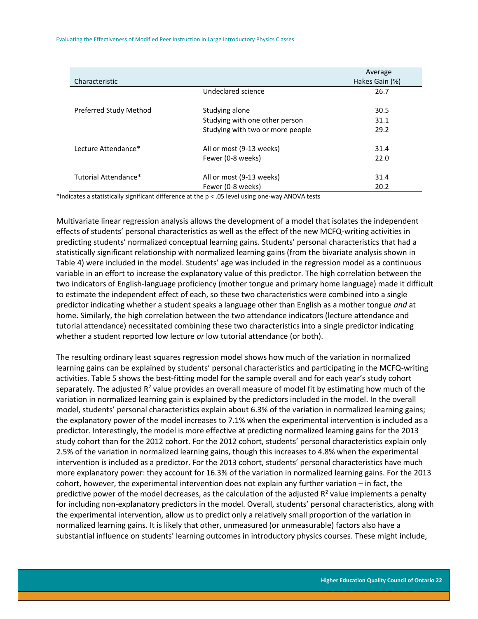Evaluating the Effectiveness of Modified Peer Instruction in Large Introductory Physics Classes

| Characteristic         |                                  | Average<br>Hakes Gain (%) |
|------------------------|----------------------------------|---------------------------|
|                        | Undeclared science               | 26.7                      |
| Preferred Study Method | Studying alone                   | 30.5                      |
|                        | Studying with one other person   | 31.1                      |
|                        | Studying with two or more people | 29.2                      |
| Lecture Attendance*    | All or most (9-13 weeks)         | 31.4                      |
|                        | Fewer (0-8 weeks)                | 22.0                      |
| Tutorial Attendance*   | All or most (9-13 weeks)         | 31.4                      |
|                        | Fewer (0-8 weeks)                | 20.2                      |

\*Indicates a statistically significant difference at the p < .05 level using one-way ANOVA tests

Multivariate linear regression analysis allows the development of a model that isolates the independent effects of students' personal characteristics as well as the effect of the new MCFQ-writing activities in predicting students' normalized conceptual learning gains. Students' personal characteristics that had a statistically significant relationship with normalized learning gains (from the bivariate analysis shown in Table 4) were included in the model. Students' age was included in the regression model as a continuous variable in an effort to increase the explanatory value of this predictor. The high correlation between the two indicators of English-language proficiency (mother tongue and primary home language) made it difficult to estimate the independent effect of each, so these two characteristics were combined into a single predictor indicating whether a student speaks a language other than English as a mother tongue *and* at home. Similarly, the high correlation between the two attendance indicators (lecture attendance and tutorial attendance) necessitated combining these two characteristics into a single predictor indicating whether a student reported low lecture *or* low tutorial attendance (or both).

The resulting ordinary least squares regression model shows how much of the variation in normalized learning gains can be explained by students' personal characteristics and participating in the MCFQ-writing activities. Table 5 shows the best-fitting model for the sample overall and for each year's study cohort separately. The adjusted R<sup>2</sup> value provides an overall measure of model fit by estimating how much of the variation in normalized learning gain is explained by the predictors included in the model. In the overall model, students' personal characteristics explain about 6.3% of the variation in normalized learning gains; the explanatory power of the model increases to 7.1% when the experimental intervention is included as a predictor. Interestingly, the model is more effective at predicting normalized learning gains for the 2013 study cohort than for the 2012 cohort. For the 2012 cohort, students' personal characteristics explain only 2.5% of the variation in normalized learning gains, though this increases to 4.8% when the experimental intervention is included as a predictor. For the 2013 cohort, students' personal characteristics have much more explanatory power: they account for 16.3% of the variation in normalized learning gains. For the 2013 cohort, however, the experimental intervention does not explain any further variation – in fact, the predictive power of the model decreases, as the calculation of the adjusted  $R^2$  value implements a penalty for including non-explanatory predictors in the model. Overall, students' personal characteristics, along with the experimental intervention, allow us to predict only a relatively small proportion of the variation in normalized learning gains. It is likely that other, unmeasured (or unmeasurable) factors also have a substantial influence on students' learning outcomes in introductory physics courses. These might include,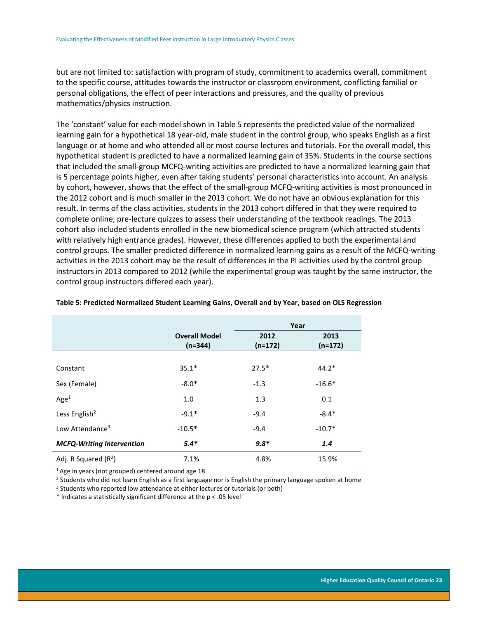but are not limited to: satisfaction with program of study, commitment to academics overall, commitment to the specific course, attitudes towards the instructor or classroom environment, conflicting familial or personal obligations, the effect of peer interactions and pressures, and the quality of previous mathematics/physics instruction.

The 'constant' value for each model shown in Table 5 represents the predicted value of the normalized learning gain for a hypothetical 18 year-old, male student in the control group, who speaks English as a first language or at home and who attended all or most course lectures and tutorials. For the overall model, this hypothetical student is predicted to have a normalized learning gain of 35%. Students in the course sections that included the small-group MCFQ-writing activities are predicted to have a normalized learning gain that is 5 percentage points higher, even after taking students' personal characteristics into account. An analysis by cohort, however, shows that the effect of the small-group MCFQ-writing activities is most pronounced in the 2012 cohort and is much smaller in the 2013 cohort. We do not have an obvious explanation for this result. In terms of the class activities, students in the 2013 cohort differed in that they were required to complete online, pre-lecture quizzes to assess their understanding of the textbook readings. The 2013 cohort also included students enrolled in the new biomedical science program (which attracted students with relatively high entrance grades). However, these differences applied to both the experimental and control groups. The smaller predicted difference in normalized learning gains as a result of the MCFQ-writing activities in the 2013 cohort may be the result of differences in the PI activities used by the control group instructors in 2013 compared to 2012 (while the experimental group was taught by the same instructor, the control group instructors differed each year).

|                                  |                                   |                   | Year              |
|----------------------------------|-----------------------------------|-------------------|-------------------|
|                                  | <b>Overall Model</b><br>$(n=344)$ | 2012<br>$(n=172)$ | 2013<br>$(n=172)$ |
|                                  |                                   |                   |                   |
| Constant                         | $35.1*$                           | $27.5*$           | $44.2*$           |
| Sex (Female)                     | $-8.0*$                           | $-1.3$            | $-16.6*$          |
| Age <sup>1</sup>                 | 1.0                               | 1.3               | 0.1               |
| Less English <sup>2</sup>        | $-9.1*$                           | $-9.4$            | $-8.4*$           |
| Low Attendance <sup>3</sup>      | $-10.5*$                          | $-9.4$            | $-10.7*$          |
| <b>MCFQ-Writing Intervention</b> | $5.4*$                            | $9.8*$            | 1.4               |
| Adj. R Squared $(R^2)$           | 7.1%                              | 4.8%              | 15.9%             |

#### <span id="page-23-0"></span>**Table 5: Predicted Normalized Student Learning Gains, Overall and by Year, based on OLS Regression**

<sup>1</sup>Age in years (not grouped) centered around age 18

<sup>2</sup> Students who did not learn English as a first language nor is English the primary language spoken at home

<sup>3</sup> Students who reported low attendance at either lectures or tutorials (or both)

\* Indicates a statistically significant difference at the p < .05 level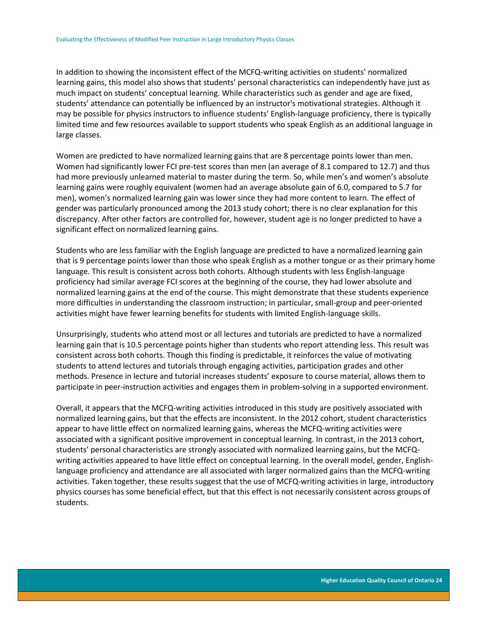In addition to showing the inconsistent effect of the MCFQ-writing activities on students' normalized learning gains, this model also shows that students' personal characteristics can independently have just as much impact on students' conceptual learning. While characteristics such as gender and age are fixed, students' attendance can potentially be influenced by an instructor's motivational strategies. Although it may be possible for physics instructors to influence students' English-language proficiency, there is typically limited time and few resources available to support students who speak English as an additional language in large classes.

Women are predicted to have normalized learning gains that are 8 percentage points lower than men. Women had significantly lower FCI pre-test scores than men (an average of 8.1 compared to 12.7) and thus had more previously unlearned material to master during the term. So, while men's and women's absolute learning gains were roughly equivalent (women had an average absolute gain of 6.0, compared to 5.7 for men), women's normalized learning gain was lower since they had more content to learn. The effect of gender was particularly pronounced among the 2013 study cohort; there is no clear explanation for this discrepancy. After other factors are controlled for, however, student age is no longer predicted to have a significant effect on normalized learning gains.

Students who are less familiar with the English language are predicted to have a normalized learning gain that is 9 percentage points lower than those who speak English as a mother tongue or as their primary home language. This result is consistent across both cohorts. Although students with less English-language proficiency had similar average FCI scores at the beginning of the course, they had lower absolute and normalized learning gains at the end of the course. This might demonstrate that these students experience more difficulties in understanding the classroom instruction; in particular, small-group and peer-oriented activities might have fewer learning benefits for students with limited English-language skills.

Unsurprisingly, students who attend most or all lectures and tutorials are predicted to have a normalized learning gain that is 10.5 percentage points higher than students who report attending less. This result was consistent across both cohorts. Though this finding is predictable, it reinforces the value of motivating students to attend lectures and tutorials through engaging activities, participation grades and other methods. Presence in lecture and tutorial increases students' exposure to course material, allows them to participate in peer-instruction activities and engages them in problem-solving in a supported environment.

Overall, it appears that the MCFQ-writing activities introduced in this study are positively associated with normalized learning gains, but that the effects are inconsistent. In the 2012 cohort, student characteristics appear to have little effect on normalized learning gains, whereas the MCFQ-writing activities were associated with a significant positive improvement in conceptual learning. In contrast, in the 2013 cohort, students' personal characteristics are strongly associated with normalized learning gains, but the MCFQwriting activities appeared to have little effect on conceptual learning. In the overall model, gender, Englishlanguage proficiency and attendance are all associated with larger normalized gains than the MCFQ-writing activities. Taken together, these results suggest that the use of MCFQ-writing activities in large, introductory physics courses has some beneficial effect, but that this effect is not necessarily consistent across groups of students.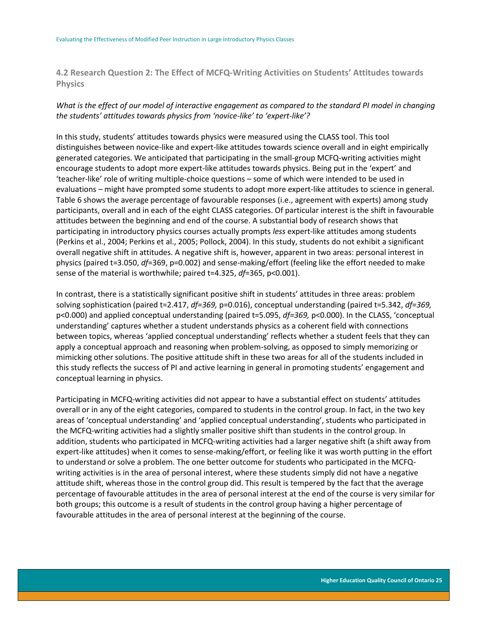<span id="page-25-0"></span>**4.2 Research Question 2: The Effect of MCFQ-Writing Activities on Students' Attitudes towards Physics**

# *What is the effect of our model of interactive engagement as compared to the standard PI model in changing the students' attitudes towards physics from 'novice-like' to 'expert-like'?*

In this study, students' attitudes towards physics were measured using the CLASS tool. This tool distinguishes between novice-like and expert-like attitudes towards science overall and in eight empirically generated categories. We anticipated that participating in the small-group MCFQ-writing activities might encourage students to adopt more expert-like attitudes towards physics. Being put in the 'expert' and 'teacher-like' role of writing multiple-choice questions – some of which were intended to be used in evaluations – might have prompted some students to adopt more expert-like attitudes to science in general. Table 6 shows the average percentage of favourable responses (i.e., agreement with experts) among study participants, overall and in each of the eight CLASS categories. Of particular interest is the shift in favourable attitudes between the beginning and end of the course. A substantial body of research shows that participating in introductory physics courses actually prompts *less* expert-like attitudes among students (Perkins et al., 2004; Perkins et al., 2005; Pollock, 2004). In this study, students do not exhibit a significant overall negative shift in attitudes. A negative shift is, however, apparent in two areas: personal interest in physics (paired t=3.050, *df*=369, p=0.002) and sense-making/effort (feeling like the effort needed to make sense of the material is worthwhile; paired t=4.325, *df*=365, p<0.001).

In contrast, there is a statistically significant positive shift in students' attitudes in three areas: problem solving sophistication (paired t=2.417, *df=369,* p=0.016), conceptual understanding (paired t=5.342, *df=369,*  p<0.000) and applied conceptual understanding (paired t=5.095, *df=369,* p<0.000). In the CLASS, 'conceptual understanding' captures whether a student understands physics as a coherent field with connections between topics, whereas 'applied conceptual understanding' reflects whether a student feels that they can apply a conceptual approach and reasoning when problem-solving, as opposed to simply memorizing or mimicking other solutions. The positive attitude shift in these two areas for all of the students included in this study reflects the success of PI and active learning in general in promoting students' engagement and conceptual learning in physics.

Participating in MCFQ-writing activities did not appear to have a substantial effect on students' attitudes overall or in any of the eight categories, compared to students in the control group. In fact, in the two key areas of 'conceptual understanding' and 'applied conceptual understanding', students who participated in the MCFQ-writing activities had a slightly smaller positive shift than students in the control group. In addition, students who participated in MCFQ-writing activities had a larger negative shift (a shift away from expert-like attitudes) when it comes to sense-making/effort, or feeling like it was worth putting in the effort to understand or solve a problem. The one better outcome for students who participated in the MCFQwriting activities is in the area of personal interest, where these students simply did not have a negative attitude shift, whereas those in the control group did. This result is tempered by the fact that the average percentage of favourable attitudes in the area of personal interest at the end of the course is very similar for both groups; this outcome is a result of students in the control group having a higher percentage of favourable attitudes in the area of personal interest at the beginning of the course.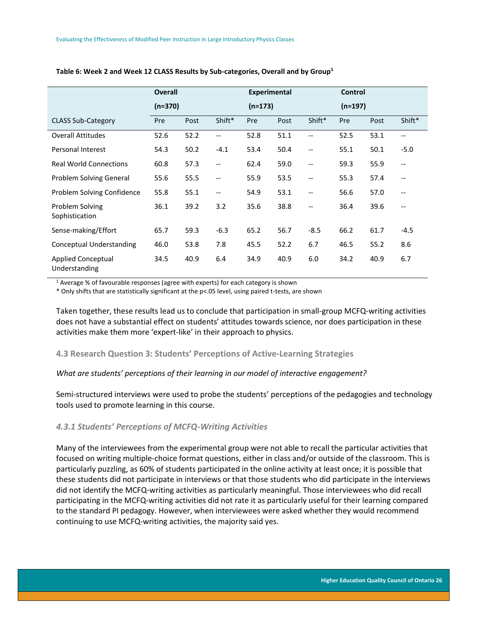|                                            | <b>Overall</b><br>$(n=370)$ |      |                          | <b>Experimental</b> |      |                                       | <b>Control</b> |      |                          |
|--------------------------------------------|-----------------------------|------|--------------------------|---------------------|------|---------------------------------------|----------------|------|--------------------------|
|                                            |                             |      |                          | $(n=173)$           |      |                                       | $(n=197)$      |      |                          |
| <b>CLASS Sub-Category</b>                  | Pre                         | Post | Shift*                   | Pre                 | Post | Shift*                                | Pre            | Post | Shift*                   |
| <b>Overall Attitudes</b>                   | 52.6                        | 52.2 | $-$                      | 52.8                | 51.1 | $-$                                   | 52.5           | 53.1 | $\overline{\phantom{a}}$ |
| Personal Interest                          | 54.3                        | 50.2 | $-4.1$                   | 53.4                | 50.4 | $\overline{\phantom{a}}$              | 55.1           | 50.1 | $-5.0$                   |
| <b>Real World Connections</b>              | 60.8                        | 57.3 | $\overline{\phantom{a}}$ | 62.4                | 59.0 | $\hspace{0.05cm} \ldots$              | 59.3           | 55.9 | $- -$                    |
| Problem Solving General                    | 55.6                        | 55.5 | $\qquad \qquad -$        | 55.9                | 53.5 | $\hspace{0.05cm}$ $\hspace{0.05cm}$   | 55.3           | 57.4 | $\overline{\phantom{a}}$ |
| Problem Solving Confidence                 | 55.8                        | 55.1 | --                       | 54.9                | 53.1 | $\overline{\phantom{a}}$              | 56.6           | 57.0 | $-$                      |
| Problem Solving<br>Sophistication          | 36.1                        | 39.2 | 3.2                      | 35.6                | 38.8 | $\hspace{0.05cm}$ – $\hspace{0.05cm}$ | 36.4           | 39.6 | $\overline{\phantom{m}}$ |
| Sense-making/Effort                        | 65.7                        | 59.3 | $-6.3$                   | 65.2                | 56.7 | $-8.5$                                | 66.2           | 61.7 | $-4.5$                   |
| <b>Conceptual Understanding</b>            | 46.0                        | 53.8 | 7.8                      | 45.5                | 52.2 | 6.7                                   | 46.5           | 55.2 | 8.6                      |
| <b>Applied Conceptual</b><br>Understanding | 34.5                        | 40.9 | 6.4                      | 34.9                | 40.9 | 6.0                                   | 34.2           | 40.9 | 6.7                      |

#### <span id="page-26-2"></span>**Table 6: Week 2 and Week 12 CLASS Results by Sub-categories, Overall and by Group<sup>1</sup>**

<sup>1</sup> Average % of favourable responses (agree with experts) for each category is shown

\* Only shifts that are statistically significant at the p<.05 level, using paired t-tests, are shown

Taken together, these results lead us to conclude that participation in small-group MCFQ-writing activities does not have a substantial effect on students' attitudes towards science, nor does participation in these activities make them more 'expert-like' in their approach to physics.

## <span id="page-26-0"></span>**4.3 Research Question 3: Students' Perceptions of Active-Learning Strategies**

#### *What are students' perceptions of their learning in our model of interactive engagement?*

Semi-structured interviews were used to probe the students' perceptions of the pedagogies and technology tools used to promote learning in this course.

#### <span id="page-26-1"></span>*4.3.1 Students' Perceptions of MCFQ-Writing Activities*

Many of the interviewees from the experimental group were not able to recall the particular activities that focused on writing multiple-choice format questions, either in class and/or outside of the classroom. This is particularly puzzling, as 60% of students participated in the online activity at least once; it is possible that these students did not participate in interviews or that those students who did participate in the interviews did not identify the MCFQ-writing activities as particularly meaningful. Those interviewees who did recall participating in the MCFQ-writing activities did not rate it as particularly useful for their learning compared to the standard PI pedagogy. However, when interviewees were asked whether they would recommend continuing to use MCFQ-writing activities, the majority said yes.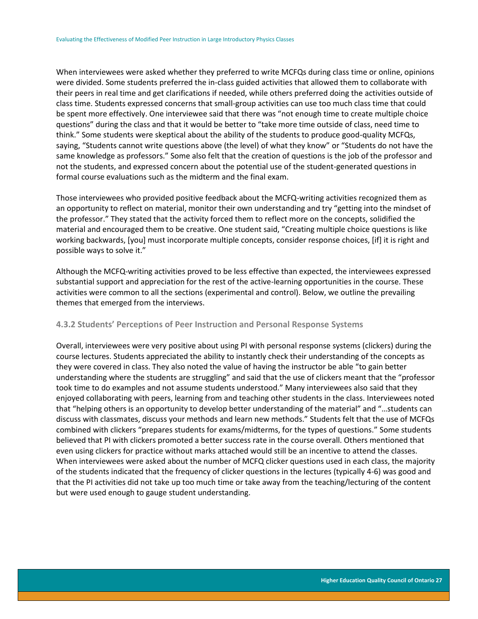When interviewees were asked whether they preferred to write MCFQs during class time or online, opinions were divided. Some students preferred the in-class guided activities that allowed them to collaborate with their peers in real time and get clarifications if needed, while others preferred doing the activities outside of class time. Students expressed concerns that small-group activities can use too much class time that could be spent more effectively. One interviewee said that there was "not enough time to create multiple choice questions" during the class and that it would be better to "take more time outside of class, need time to think." Some students were skeptical about the ability of the students to produce good-quality MCFQs, saying, "Students cannot write questions above (the level) of what they know" or "Students do not have the same knowledge as professors." Some also felt that the creation of questions is the job of the professor and not the students, and expressed concern about the potential use of the student-generated questions in formal course evaluations such as the midterm and the final exam.

Those interviewees who provided positive feedback about the MCFQ-writing activities recognized them as an opportunity to reflect on material, monitor their own understanding and try "getting into the mindset of the professor." They stated that the activity forced them to reflect more on the concepts, solidified the material and encouraged them to be creative. One student said, "Creating multiple choice questions is like working backwards, [you] must incorporate multiple concepts, consider response choices, [if] it is right and possible ways to solve it."

Although the MCFQ-writing activities proved to be less effective than expected, the interviewees expressed substantial support and appreciation for the rest of the active-learning opportunities in the course. These activities were common to all the sections (experimental and control). Below, we outline the prevailing themes that emerged from the interviews.

# <span id="page-27-0"></span>**4.3.2 Students' Perceptions of Peer Instruction and Personal Response Systems**

Overall, interviewees were very positive about using PI with personal response systems (clickers) during the course lectures. Students appreciated the ability to instantly check their understanding of the concepts as they were covered in class. They also noted the value of having the instructor be able "to gain better understanding where the students are struggling" and said that the use of clickers meant that the "professor took time to do examples and not assume students understood." Many interviewees also said that they enjoyed collaborating with peers, learning from and teaching other students in the class. Interviewees noted that "helping others is an opportunity to develop better understanding of the material" and "…students can discuss with classmates, discuss your methods and learn new methods." Students felt that the use of MCFQs combined with clickers "prepares students for exams/midterms, for the types of questions." Some students believed that PI with clickers promoted a better success rate in the course overall. Others mentioned that even using clickers for practice without marks attached would still be an incentive to attend the classes. When interviewees were asked about the number of MCFQ clicker questions used in each class, the majority of the students indicated that the frequency of clicker questions in the lectures (typically 4-6) was good and that the PI activities did not take up too much time or take away from the teaching/lecturing of the content but were used enough to gauge student understanding.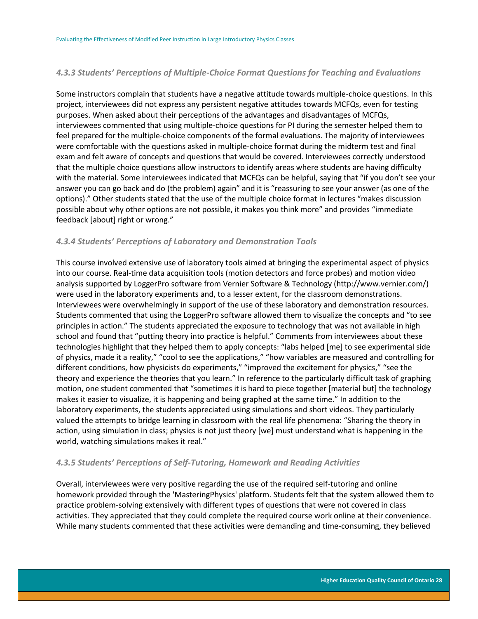# <span id="page-28-0"></span>*4.3.3 Students' Perceptions of Multiple-Choice Format Questions for Teaching and Evaluations*

Some instructors complain that students have a negative attitude towards multiple-choice questions. In this project, interviewees did not express any persistent negative attitudes towards MCFQs, even for testing purposes. When asked about their perceptions of the advantages and disadvantages of MCFQs, interviewees commented that using multiple-choice questions for PI during the semester helped them to feel prepared for the multiple-choice components of the formal evaluations. The majority of interviewees were comfortable with the questions asked in multiple-choice format during the midterm test and final exam and felt aware of concepts and questions that would be covered. Interviewees correctly understood that the multiple choice questions allow instructors to identify areas where students are having difficulty with the material. Some interviewees indicated that MCFQs can be helpful, saying that "if you don't see your answer you can go back and do (the problem) again" and it is "reassuring to see your answer (as one of the options)." Other students stated that the use of the multiple choice format in lectures "makes discussion possible about why other options are not possible, it makes you think more" and provides "immediate feedback [about] right or wrong."

# <span id="page-28-1"></span>*4.3.4 Students' Perceptions of Laboratory and Demonstration Tools*

This course involved extensive use of laboratory tools aimed at bringing the experimental aspect of physics into our course. Real-time data acquisition tools (motion detectors and force probes) and motion video analysis supported by LoggerPro software from Vernier Software & Technology (http://www.vernier.com/) were used in the laboratory experiments and, to a lesser extent, for the classroom demonstrations. Interviewees were overwhelmingly in support of the use of these laboratory and demonstration resources. Students commented that using the LoggerPro software allowed them to visualize the concepts and "to see principles in action." The students appreciated the exposure to technology that was not available in high school and found that "putting theory into practice is helpful." Comments from interviewees about these technologies highlight that they helped them to apply concepts: "labs helped [me] to see experimental side of physics, made it a reality," "cool to see the applications," "how variables are measured and controlling for different conditions, how physicists do experiments," "improved the excitement for physics," "see the theory and experience the theories that you learn." In reference to the particularly difficult task of graphing motion, one student commented that "sometimes it is hard to piece together [material but] the technology makes it easier to visualize, it is happening and being graphed at the same time." In addition to the laboratory experiments, the students appreciated using simulations and short videos. They particularly valued the attempts to bridge learning in classroom with the real life phenomena: "Sharing the theory in action, using simulation in class; physics is not just theory [we] must understand what is happening in the world, watching simulations makes it real."

# <span id="page-28-2"></span>*4.3.5 Students' Perceptions of Self-Tutoring, Homework and Reading Activities*

Overall, interviewees were very positive regarding the use of the required self-tutoring and online homework provided through the 'MasteringPhysics' platform. Students felt that the system allowed them to practice problem-solving extensively with different types of questions that were not covered in class activities. They appreciated that they could complete the required course work online at their convenience. While many students commented that these activities were demanding and time-consuming, they believed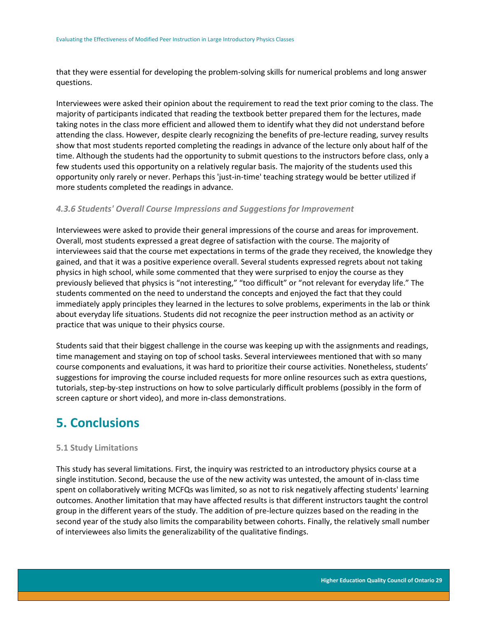that they were essential for developing the problem-solving skills for numerical problems and long answer questions.

Interviewees were asked their opinion about the requirement to read the text prior coming to the class. The majority of participants indicated that reading the textbook better prepared them for the lectures, made taking notes in the class more efficient and allowed them to identify what they did not understand before attending the class. However, despite clearly recognizing the benefits of pre-lecture reading, survey results show that most students reported completing the readings in advance of the lecture only about half of the time. Although the students had the opportunity to submit questions to the instructors before class, only a few students used this opportunity on a relatively regular basis. The majority of the students used this opportunity only rarely or never. Perhaps this 'just-in-time' teaching strategy would be better utilized if more students completed the readings in advance.

## <span id="page-29-0"></span>*4.3.6 Students' Overall Course Impressions and Suggestions for Improvement*

Interviewees were asked to provide their general impressions of the course and areas for improvement. Overall, most students expressed a great degree of satisfaction with the course. The majority of interviewees said that the course met expectations in terms of the grade they received, the knowledge they gained, and that it was a positive experience overall. Several students expressed regrets about not taking physics in high school, while some commented that they were surprised to enjoy the course as they previously believed that physics is "not interesting," "too difficult" or "not relevant for everyday life." The students commented on the need to understand the concepts and enjoyed the fact that they could immediately apply principles they learned in the lectures to solve problems, experiments in the lab or think about everyday life situations. Students did not recognize the peer instruction method as an activity or practice that was unique to their physics course.

Students said that their biggest challenge in the course was keeping up with the assignments and readings, time management and staying on top of school tasks. Several interviewees mentioned that with so many course components and evaluations, it was hard to prioritize their course activities. Nonetheless, students' suggestions for improving the course included requests for more online resources such as extra questions, tutorials, step-by-step instructions on how to solve particularly difficult problems (possibly in the form of screen capture or short video), and more in-class demonstrations.

# <span id="page-29-1"></span>**5. Conclusions**

### <span id="page-29-2"></span>**5.1 Study Limitations**

This study has several limitations. First, the inquiry was restricted to an introductory physics course at a single institution. Second, because the use of the new activity was untested, the amount of in-class time spent on collaboratively writing MCFQs was limited, so as not to risk negatively affecting students' learning outcomes. Another limitation that may have affected results is that different instructors taught the control group in the different years of the study. The addition of pre-lecture quizzes based on the reading in the second year of the study also limits the comparability between cohorts. Finally, the relatively small number of interviewees also limits the generalizability of the qualitative findings.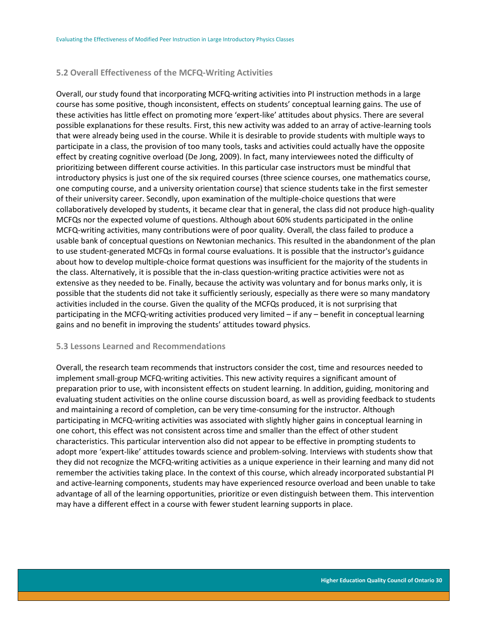## <span id="page-30-0"></span>**5.2 Overall Effectiveness of the MCFQ-Writing Activities**

Overall, our study found that incorporating MCFQ-writing activities into PI instruction methods in a large course has some positive, though inconsistent, effects on students' conceptual learning gains. The use of these activities has little effect on promoting more 'expert-like' attitudes about physics. There are several possible explanations for these results. First, this new activity was added to an array of active-learning tools that were already being used in the course. While it is desirable to provide students with multiple ways to participate in a class, the provision of too many tools, tasks and activities could actually have the opposite effect by creating cognitive overload (De Jong, 2009). In fact, many interviewees noted the difficulty of prioritizing between different course activities. In this particular case instructors must be mindful that introductory physics is just one of the six required courses (three science courses, one mathematics course, one computing course, and a university orientation course) that science students take in the first semester of their university career. Secondly, upon examination of the multiple-choice questions that were collaboratively developed by students, it became clear that in general, the class did not produce high-quality MCFQs nor the expected volume of questions. Although about 60% students participated in the online MCFQ-writing activities, many contributions were of poor quality. Overall, the class failed to produce a usable bank of conceptual questions on Newtonian mechanics. This resulted in the abandonment of the plan to use student-generated MCFQs in formal course evaluations. It is possible that the instructor's guidance about how to develop multiple-choice format questions was insufficient for the majority of the students in the class. Alternatively, it is possible that the in-class question-writing practice activities were not as extensive as they needed to be. Finally, because the activity was voluntary and for bonus marks only, it is possible that the students did not take it sufficiently seriously, especially as there were so many mandatory activities included in the course. Given the quality of the MCFQs produced, it is not surprising that participating in the MCFQ-writing activities produced very limited – if any – benefit in conceptual learning gains and no benefit in improving the students' attitudes toward physics.

### <span id="page-30-1"></span>**5.3 Lessons Learned and Recommendations**

Overall, the research team recommends that instructors consider the cost, time and resources needed to implement small-group MCFQ-writing activities. This new activity requires a significant amount of preparation prior to use, with inconsistent effects on student learning. In addition, guiding, monitoring and evaluating student activities on the online course discussion board, as well as providing feedback to students and maintaining a record of completion, can be very time-consuming for the instructor. Although participating in MCFQ-writing activities was associated with slightly higher gains in conceptual learning in one cohort, this effect was not consistent across time and smaller than the effect of other student characteristics. This particular intervention also did not appear to be effective in prompting students to adopt more 'expert-like' attitudes towards science and problem-solving. Interviews with students show that they did not recognize the MCFQ-writing activities as a unique experience in their learning and many did not remember the activities taking place. In the context of this course, which already incorporated substantial PI and active-learning components, students may have experienced resource overload and been unable to take advantage of all of the learning opportunities, prioritize or even distinguish between them. This intervention may have a different effect in a course with fewer student learning supports in place.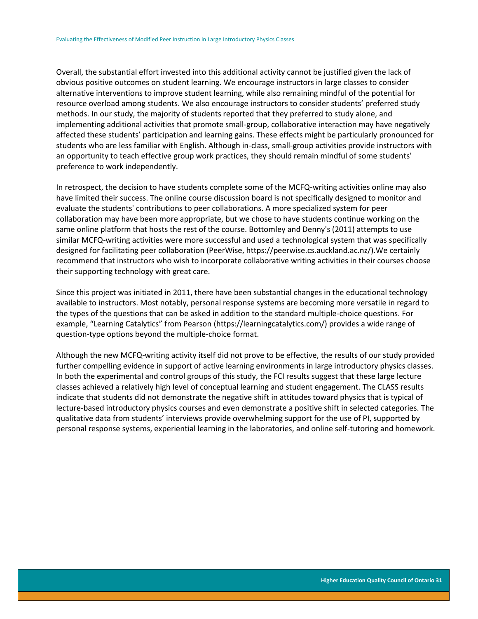Overall, the substantial effort invested into this additional activity cannot be justified given the lack of obvious positive outcomes on student learning. We encourage instructors in large classes to consider alternative interventions to improve student learning, while also remaining mindful of the potential for resource overload among students. We also encourage instructors to consider students' preferred study methods. In our study, the majority of students reported that they preferred to study alone, and implementing additional activities that promote small-group, collaborative interaction may have negatively affected these students' participation and learning gains. These effects might be particularly pronounced for students who are less familiar with English. Although in-class, small-group activities provide instructors with an opportunity to teach effective group work practices, they should remain mindful of some students' preference to work independently.

In retrospect, the decision to have students complete some of the MCFQ-writing activities online may also have limited their success. The online course discussion board is not specifically designed to monitor and evaluate the students' contributions to peer collaborations. A more specialized system for peer collaboration may have been more appropriate, but we chose to have students continue working on the same online platform that hosts the rest of the course. Bottomley and Denny's (2011) attempts to use similar MCFQ-writing activities were more successful and used a technological system that was specifically designed for facilitating peer collaboration (PeerWise, https://peerwise.cs.auckland.ac.nz/).We certainly recommend that instructors who wish to incorporate collaborative writing activities in their courses choose their supporting technology with great care.

Since this project was initiated in 2011, there have been substantial changes in the educational technology available to instructors. Most notably, personal response systems are becoming more versatile in regard to the types of the questions that can be asked in addition to the standard multiple-choice questions. For example, "Learning Catalytics" from Pearson (https://learningcatalytics.com/) provides a wide range of question-type options beyond the multiple-choice format.

Although the new MCFQ-writing activity itself did not prove to be effective, the results of our study provided further compelling evidence in support of active learning environments in large introductory physics classes. In both the experimental and control groups of this study, the FCI results suggest that these large lecture classes achieved a relatively high level of conceptual learning and student engagement. The CLASS results indicate that students did not demonstrate the negative shift in attitudes toward physics that is typical of lecture-based introductory physics courses and even demonstrate a positive shift in selected categories. The qualitative data from students' interviews provide overwhelming support for the use of PI, supported by personal response systems, experiential learning in the laboratories, and online self-tutoring and homework.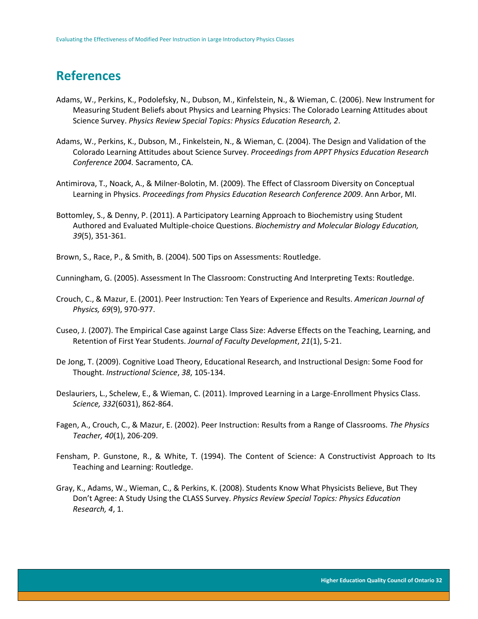# <span id="page-32-0"></span>**References**

- Adams, W., Perkins, K., Podolefsky, N., Dubson, M., Kinfelstein, N., & Wieman, C. (2006). New Instrument for Measuring Student Beliefs about Physics and Learning Physics: The Colorado Learning Attitudes about Science Survey. *Physics Review Special Topics: Physics Education Research, 2*.
- Adams, W., Perkins, K., Dubson, M., Finkelstein, N., & Wieman, C. (2004). The Design and Validation of the Colorado Learning Attitudes about Science Survey. *Proceedings from APPT Physics Education Research Conference 2004.* Sacramento, CA.
- Antimirova, T., Noack, A., & Milner-Bolotin, M. (2009). The Effect of Classroom Diversity on Conceptual Learning in Physics. *Proceedings from Physics Education Research Conference 2009*. Ann Arbor, MI.
- Bottomley, S., & [Denny, P.](http://www.ncbi.nlm.nih.gov/pubmed/?term=Denny%20P%5BAuthor%5D&cauthor=true&cauthor_uid=21948507) (2011). A Participatory Learning Approach to Biochemistry using Student Authored and Evaluated Multiple-choice Questions. *Biochemistry and Molecular Biology Education, 39*(5), 351-361.
- Brown, S., Race, P., & Smith, B. (2004). 500 Tips on Assessments: Routledge.

Cunningham, G. (2005). Assessment In The Classroom: Constructing And Interpreting Texts: Routledge.

- Crouch, C., & Mazur, E. (2001). Peer Instruction: Ten Years of Experience and Results. *American Journal of Physics, 69*(9), 970-977.
- Cuseo, J. (2007). The Empirical Case against Large Class Size: Adverse Effects on the Teaching, Learning, and Retention of First Year Students. *Journal of Faculty Development*, *21*(1), 5-21.
- De Jong, T. (2009). Cognitive Load Theory, Educational Research, and Instructional Design: Some Food for Thought. *Instructional Science*, *38*, 105-134.
- Deslauriers, L., Schelew, E., & Wieman, C. (2011). Improved Learning in a Large-Enrollment Physics Class. *Science, 332*(6031), 862-864.
- Fagen, A., Crouch, C., & Mazur, E. (2002). Peer Instruction: Results from a Range of Classrooms. *The Physics Teacher, 40*(1), 206-209.
- Fensham, P. Gunstone, R., & White, T. (1994). The Content of Science: A Constructivist Approach to Its Teaching and Learning: Routledge.
- Gray, K., Adams, W., Wieman, C., & Perkins, K. (2008). Students Know What Physicists Believe, But They Don't Agree: A Study Using the CLASS Survey. *Physics Review Special Topics: Physics Education Research, 4*, 1.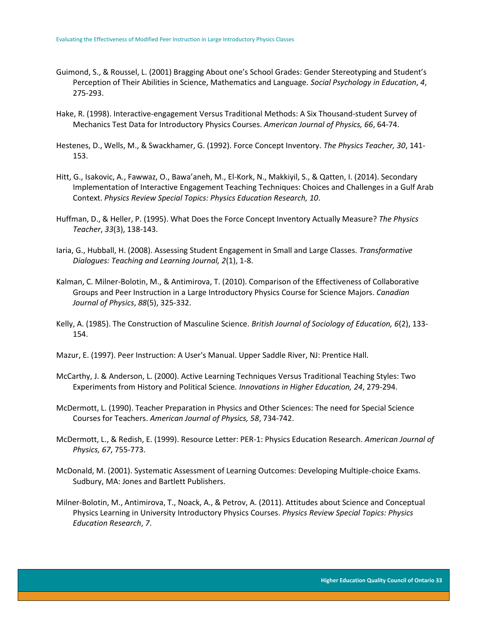- Guimond, S., & Roussel, L. (2001) Bragging About one's School Grades: Gender Stereotyping and Student's Perception of Their Abilities in Science, Mathematics and Language. *Social Psychology in Education*, *4*, 275-293.
- Hake, R. (1998). Interactive-engagement Versus Traditional Methods: A Six Thousand-student Survey of Mechanics Test Data for Introductory Physics Courses. *American Journal of Physics, 66*, 64-74.
- Hestenes, D., Wells, M., & Swackhamer, G. (1992). Force Concept Inventory. *The Physics Teacher, 30*, 141- 153.
- Hitt, G., Isakovic, A., Fawwaz, O., Bawa'aneh, M., El-Kork, N., Makkiyil, S., & Qatten, I. (2014). Secondary Implementation of Interactive Engagement Teaching Techniques: Choices and Challenges in a Gulf Arab Context. *Physics Review Special Topics: Physics Education Research, 10*.
- Huffman, D., & Heller, P. (1995). What Does the Force Concept Inventory Actually Measure? *The Physics Teacher*, *33*(3), 138-143.
- Iaria, G., Hubball, H. (2008). Assessing Student Engagement in Small and Large Classes. *Transformative Dialogues: Teaching and Learning Journal, 2*(1), 1-8.
- Kalman, C. Milner-Bolotin, M., & Antimirova, T. (2010). Comparison of the Effectiveness of Collaborative Groups and Peer Instruction in a Large Introductory Physics Course for Science Majors. *Canadian Journal of Physics*, *88*(5), 325-332.
- Kelly, A. (1985). The Construction of Masculine Science. *British Journal of Sociology of Education, 6*(2), 133- 154.
- Mazur, E. (1997). Peer Instruction: A User's Manual. Upper Saddle River, NJ: Prentice Hall.
- McCarthy, J. & Anderson, L. (2000). Active Learning Techniques Versus Traditional Teaching Styles: Two Experiments from History and Political Science*. Innovations in Higher Education, 24*, 279-294.
- McDermott, L. (1990). Teacher Preparation in Physics and Other Sciences: The need for Special Science Courses for Teachers. *American Journal of Physics, 58*, 734-742.
- McDermott, L., & Redish, E. (1999). Resource Letter: PER-1: Physics Education Research. *American Journal of Physics, 67*, 755-773.
- McDonald, M. (2001). Systematic Assessment of Learning Outcomes: Developing Multiple-choice Exams. Sudbury, MA: Jones and Bartlett Publishers.
- Milner-Bolotin, M., Antimirova, T., Noack, A., & Petrov, A. (2011). Attitudes about Science and Conceptual Physics Learning in University Introductory Physics Courses. *Physics Review Special Topics: Physics Education Research*, *7*.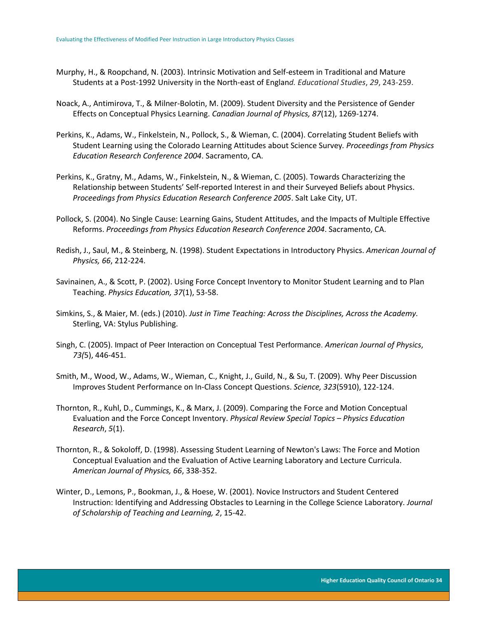- Murphy, H., & Roopchand, N. (2003). Intrinsic Motivation and Self-esteem in Traditional and Mature Students at a Post-1992 University in the North-east of Englan*d. Educational Studies*, *29*, 243-259.
- Noack, A., Antimirova, T., & Milner-Bolotin, M. (2009). Student Diversity and the Persistence of Gender Effects on Conceptual Physics Learning. *Canadian Journal of Physics, 87*(12), 1269-1274.
- Perkins, K., Adams, W., Finkelstein, N., Pollock, S., & Wieman, C. (2004). Correlating Student Beliefs with Student Learning using the Colorado Learning Attitudes about Science Survey*. Proceedings from Physics Education Research Conference 2004*. Sacramento, CA.
- Perkins, K., Gratny, M., Adams, W., Finkelstein, N., & Wieman, C. (2005). Towards Characterizing the Relationship between Students' Self-reported Interest in and their Surveyed Beliefs about Physics. *Proceedings from Physics Education Research Conference 2005*. Salt Lake City, UT.
- Pollock, S. (2004). No Single Cause: Learning Gains, Student Attitudes, and the Impacts of Multiple Effective Reforms. *Proceedings from Physics Education Research Conference 2004*. Sacramento, CA.
- Redish, J., Saul, M., & Steinberg, N. (1998). Student Expectations in Introductory Physics. *American Journal of Physics, 66*, 212-224.
- Savinainen, A., & Scott, P. (2002). Using Force Concept Inventory to Monitor Student Learning and to Plan Teaching. *Physics Education, 37*(1), 53-58.
- Simkins, S., & Maier, M. (eds.) (2010). *[Just in Time Teaching: Across the Disciplines, Across the Academy.](http://www.styluspub.com/clients/STY/Books/BookDetail.aspx?productID=178290)*  Sterling, VA: Stylus Publishing.
- Singh, C. (2005). Impact of Peer Interaction on Conceptual Test Performance. *American Journal of Physics*, *73(*5), 446-451.
- [Smith, M., Wood, W., Adams, W., Wieman, C., Knight, J., Guild, N., & Su, T. \(2009\). W](http://perusersguide.org/items/detail.cfm?ID=12190)hy Peer Discussion Improves Student Performance on In-Class Concept Questions. *Science, 323*(5910), 122-124.
- Thornton, R., Kuhl, D., Cummings, K., & Marx, J. (2009). Comparing the Force and Motion Conceptual Evaluation and the Force Concept Inventory. *Physical Review Special Topics – Physics Education Research*, *5*(1).
- Thornton, R., & Sokoloff, D. (1998). Assessing Student Learning of Newton's Laws: The Force and Motion Conceptual Evaluation and the Evaluation of Active Learning Laboratory and Lecture Curricula. *American Journal of Physics, 66*, 338-352.
- Winter, D., Lemons, P., Bookman, J., & Hoese, W. (2001). Novice Instructors and Student Centered Instruction: Identifying and Addressing Obstacles to Learning in the College Science Laboratory. *Journal of Scholarship of Teaching and Learning, 2*, 15-42.